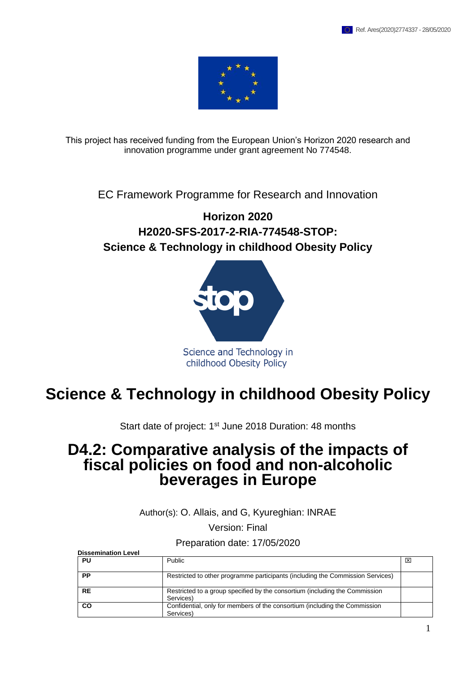

This project has received funding from the European Union's Horizon 2020 research and innovation programme under grant agreement No 774548.

EC Framework Programme for Research and Innovation

### **Horizon 2020 H2020-SFS-2017-2-RIA-774548-STOP: Science & Technology in childhood Obesity Policy**



# **Science & Technology in childhood Obesity Policy**

Start date of project: 1<sup>st</sup> June 2018 Duration: 48 months

## **D4.2: Comparative analysis of the impacts of fiscal policies on food and non-alcoholic beverages in Europe**

Author(s): O. Allais, and G, Kyureghian: INRAE

Version: Final

Preparation date: 17/05/2020

| <b>Dissemination Level</b> |                                                                                          |   |
|----------------------------|------------------------------------------------------------------------------------------|---|
| PU                         | Public                                                                                   | ⊠ |
| PP                         | Restricted to other programme participants (including the Commission Services)           |   |
| <b>RE</b>                  | Restricted to a group specified by the consortium (including the Commission<br>Services) |   |
| <b>CO</b>                  | Confidential, only for members of the consortium (including the Commission<br>Services)  |   |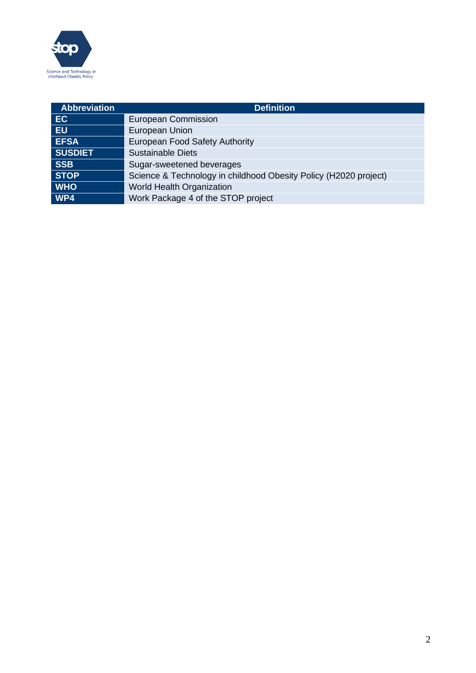

| <b>Abbreviation</b> | <b>Definition</b>                                                |
|---------------------|------------------------------------------------------------------|
| EC                  | <b>European Commission</b>                                       |
| <b>EU</b>           | <b>European Union</b>                                            |
| <b>EFSA</b>         | European Food Safety Authority                                   |
| <b>SUSDIET</b>      | <b>Sustainable Diets</b>                                         |
| <b>SSB</b>          | Sugar-sweetened beverages                                        |
| <b>STOP</b>         | Science & Technology in childhood Obesity Policy (H2020 project) |
| <b>WHO</b>          | <b>World Health Organization</b>                                 |
| WP4                 | Work Package 4 of the STOP project                               |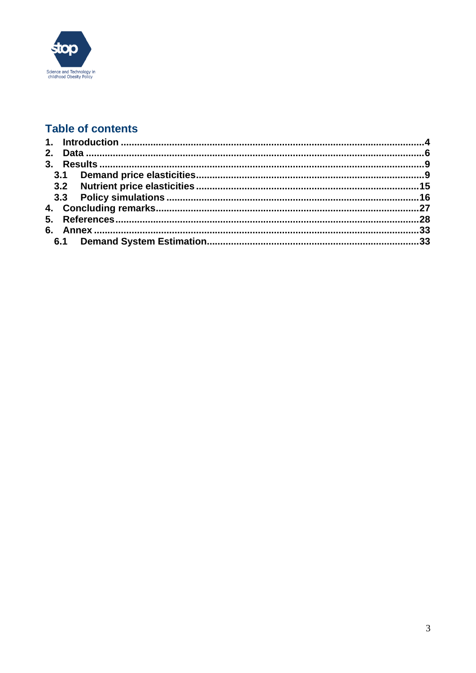

### **Table of contents**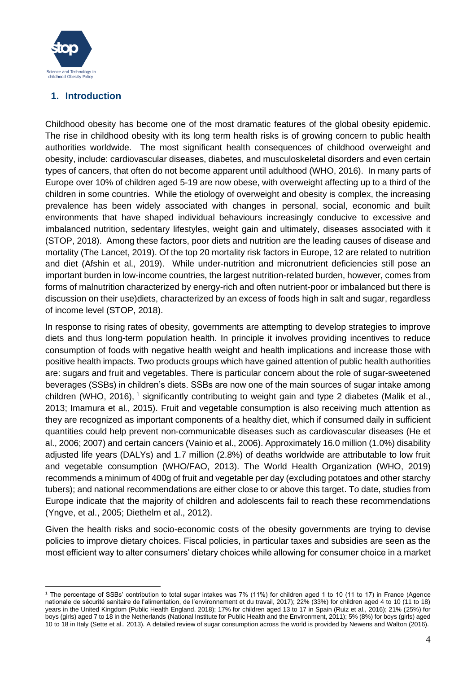

### <span id="page-3-0"></span>**1. Introduction**

Childhood obesity has become one of the most dramatic features of the global obesity epidemic. The rise in childhood obesity with its long term health risks is of growing concern to public health authorities worldwide. The most significant health consequences of childhood overweight and obesity, include: cardiovascular diseases, diabetes, and musculoskeletal disorders and even certain types of cancers, that often do not become apparent until adulthood (WHO, 2016). In many parts of Europe over 10% of children aged 5-19 are now obese, with overweight affecting up to a third of the children in some countries. While the etiology of overweight and obesity is complex, the increasing prevalence has been widely associated with changes in personal, social, economic and built environments that have shaped individual behaviours increasingly conducive to excessive and imbalanced nutrition, sedentary lifestyles, weight gain and ultimately, diseases associated with it (STOP, 2018). Among these factors, poor diets and nutrition are the leading causes of disease and mortality (The Lancet, 2019). Of the top 20 mortality risk factors in Europe, 12 are related to nutrition and diet (Afshin et al., 2019). While under-nutrition and micronutrient deficiencies still pose an important burden in low-income countries, the largest nutrition-related burden, however, comes from forms of malnutrition characterized by energy-rich and often nutrient-poor or imbalanced but there is discussion on their use)diets, characterized by an excess of foods high in salt and sugar, regardless of income level (STOP, 2018).

In response to rising rates of obesity, governments are attempting to develop strategies to improve diets and thus long-term population health. In principle it involves providing incentives to reduce consumption of foods with negative health weight and health implications and increase those with positive health impacts. Two products groups which have gained attention of public health authorities are: sugars and fruit and vegetables. There is particular concern about the role of sugar-sweetened beverages (SSBs) in children's diets. SSBs are now one of the main sources of sugar intake among children (WHO, 2016),  $^1$  significantly contributing to weight gain and type 2 diabetes (Malik et al., 2013; Imamura et al., 2015). Fruit and vegetable consumption is also receiving much attention as they are recognized as important components of a healthy diet, which if consumed daily in sufficient quantities could help prevent non-communicable diseases such as cardiovascular diseases (He et al., 2006; 2007) and certain cancers (Vainio et al., 2006). Approximately 16.0 million (1.0%) disability adjusted life years (DALYs) and 1.7 million (2.8%) of deaths worldwide are attributable to low fruit and vegetable consumption (WHO/FAO, 2013). The World Health Organization (WHO, 2019) recommends a minimum of 400g of fruit and vegetable per day (excluding potatoes and other starchy tubers); and national recommendations are either close to or above this target. To date, studies from Europe indicate that the majority of children and adolescents fail to reach these recommendations (Yngve, et al., 2005; Diethelm et al., 2012).

Given the health risks and socio-economic costs of the obesity governments are trying to devise policies to improve dietary choices. Fiscal policies, in particular taxes and subsidies are seen as the most efficient way to alter consumers' dietary choices while allowing for consumer choice in a market

<sup>1</sup> The percentage of SSBs' contribution to total sugar intakes was 7% (11%) for children aged 1 to 10 (11 to 17) in France (Agence nationale de sécurité sanitaire de l'alimentation, de l'environnement et du travail, 2017); 22% (33%) for children aged 4 to 10 (11 to 18) years in the United Kingdom (Public Health England, 2018); 17% for children aged 13 to 17 in Spain (Ruiz et al., 2016); 21% (25%) for boys (girls) aged 7 to 18 in the Netherlands (National Institute for Public Health and the Environment, 2011); 5% (8%) for boys (girls) aged 10 to 18 in Italy (Sette et al., 2013). A detailed review of sugar consumption across the world is provided by Newens and Walton (2016).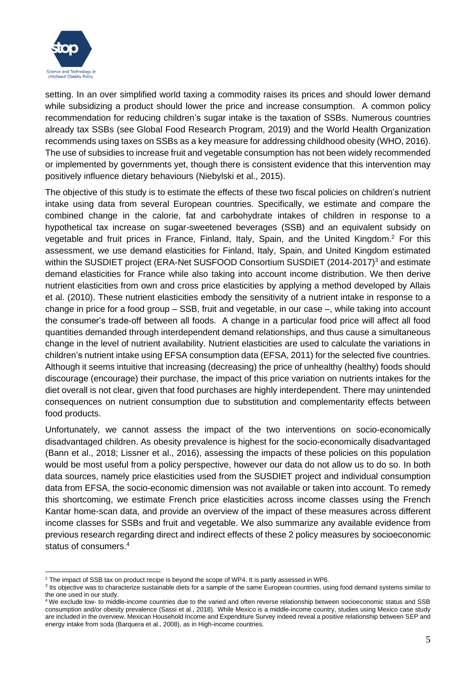

setting. In an over simplified world taxing a commodity raises its prices and should lower demand while subsidizing a product should lower the price and increase consumption. A common policy recommendation for reducing children's sugar intake is the taxation of SSBs. Numerous countries already tax SSBs (see Global Food Research Program, 2019) and the World Health Organization recommends using taxes on SSBs as a key measure for addressing childhood obesity (WHO, 2016). The use of subsidies to increase fruit and vegetable consumption has not been widely recommended or implemented by governments yet, though there is consistent evidence that this intervention may positively influence dietary behaviours (Niebylski et al., 2015).

The objective of this study is to estimate the effects of these two fiscal policies on children's nutrient intake using data from several European countries. Specifically, we estimate and compare the combined change in the calorie, fat and carbohydrate intakes of children in response to a hypothetical tax increase on sugar-sweetened beverages (SSB) and an equivalent subsidy on vegetable and fruit prices in France, Finland, Italy, Spain, and the United Kingdom.<sup>2</sup> For this assessment, we use demand elasticities for Finland, Italy, Spain, and United Kingdom estimated within the SUSDIET project (ERA-Net SUSFOOD Consortium SUSDIET (2014-2017)<sup>3</sup> and estimate demand elasticities for France while also taking into account income distribution. We then derive nutrient elasticities from own and cross price elasticities by applying a method developed by Allais et al. (2010). These nutrient elasticities embody the sensitivity of a nutrient intake in response to a change in price for a food group – SSB, fruit and vegetable, in our case –, while taking into account the consumer's trade-off between all foods. A change in a particular food price will affect all food quantities demanded through interdependent demand relationships, and thus cause a simultaneous change in the level of nutrient availability. Nutrient elasticities are used to calculate the variations in children's nutrient intake using EFSA consumption data (EFSA, 2011) for the selected five countries. Although it seems intuitive that increasing (decreasing) the price of unhealthy (healthy) foods should discourage (encourage) their purchase, the impact of this price variation on nutrients intakes for the diet overall is not clear, given that food purchases are highly interdependent. There may unintended consequences on nutrient consumption due to substitution and complementarity effects between food products.

Unfortunately, we cannot assess the impact of the two interventions on socio-economically disadvantaged children. As obesity prevalence is highest for the socio-economically disadvantaged (Bann et al., 2018; Lissner et al., 2016), assessing the impacts of these policies on this population would be most useful from a policy perspective, however our data do not allow us to do so. In both data sources, namely price elasticities used from the SUSDIET project and individual consumption data from EFSA, the socio-economic dimension was not available or taken into account. To remedy this shortcoming, we estimate French price elasticities across income classes using the French Kantar home-scan data, and provide an overview of the impact of these measures across different income classes for SSBs and fruit and vegetable. We also summarize any available evidence from previous research regarding direct and indirect effects of these 2 policy measures by socioeconomic status of consumers.<sup>4</sup>

<sup>&</sup>lt;sup>2</sup> The impact of SSB tax on product recipe is beyond the scope of WP4. It is partly assessed in WP6.

<sup>&</sup>lt;sup>3</sup> Its objective was to characterize sustainable diets for a sample of the same European countries, using food demand systems similar to the one used in our study.

<sup>4</sup> We exclude low- to middle-income countries due to the varied and often reverse relationship between socioeconomic status and SSB consumption and/or obesity prevalence (Sassi et al., 2018). While Mexico is a middle-income country, studies using Mexico case study are included in the overview. Mexican Household Income and Expenditure Survey indeed reveal a positive relationship between SEP and energy intake from soda (Barquera et al., 2008), as in High-income countries.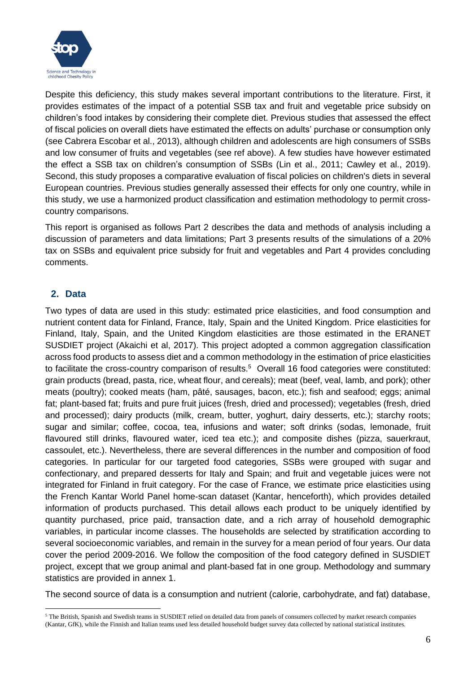

Despite this deficiency, this study makes several important contributions to the literature. First, it provides estimates of the impact of a potential SSB tax and fruit and vegetable price subsidy on children's food intakes by considering their complete diet. Previous studies that assessed the effect of fiscal policies on overall diets have estimated the effects on adults' purchase or consumption only (see Cabrera Escobar et al., 2013), although children and adolescents are high consumers of SSBs and low consumer of fruits and vegetables (see ref above). A few studies have however estimated the effect a SSB tax on children's consumption of SSBs (Lin et al., 2011; Cawley et al., 2019). Second, this study proposes a comparative evaluation of fiscal policies on children's diets in several European countries. Previous studies generally assessed their effects for only one country, while in this study, we use a harmonized product classification and estimation methodology to permit crosscountry comparisons.

This report is organised as follows Part 2 describes the data and methods of analysis including a discussion of parameters and data limitations; Part 3 presents results of the simulations of a 20% tax on SSBs and equivalent price subsidy for fruit and vegetables and Part 4 provides concluding comments.

### <span id="page-5-0"></span>**2. Data**

Two types of data are used in this study: estimated price elasticities, and food consumption and nutrient content data for Finland, France, Italy, Spain and the United Kingdom. Price elasticities for Finland, Italy, Spain, and the United Kingdom elasticities are those estimated in the ERANET SUSDIET project (Akaichi et al, 2017). This project adopted a common aggregation classification across food products to assess diet and a common methodology in the estimation of price elasticities to facilitate the cross-country comparison of results.<sup>5</sup> Overall 16 food categories were constituted: grain products (bread, pasta, rice, wheat flour, and cereals); meat (beef, veal, lamb, and pork); other meats (poultry); cooked meats (ham, pâté, sausages, bacon, etc.); fish and seafood; eggs; animal fat; plant-based fat; fruits and pure fruit juices (fresh, dried and processed); vegetables (fresh, dried and processed); dairy products (milk, cream, butter, yoghurt, dairy desserts, etc.); starchy roots; sugar and similar; coffee, cocoa, tea, infusions and water; soft drinks (sodas, lemonade, fruit flavoured still drinks, flavoured water, iced tea etc.); and composite dishes (pizza, sauerkraut, cassoulet, etc.). Nevertheless, there are several differences in the number and composition of food categories. In particular for our targeted food categories, SSBs were grouped with sugar and confectionary, and prepared desserts for Italy and Spain; and fruit and vegetable juices were not integrated for Finland in fruit category. For the case of France, we estimate price elasticities using the French Kantar World Panel home-scan dataset (Kantar, henceforth), which provides detailed information of products purchased. This detail allows each product to be uniquely identified by quantity purchased, price paid, transaction date, and a rich array of household demographic variables, in particular income classes. The households are selected by stratification according to several socioeconomic variables, and remain in the survey for a mean period of four years. Our data cover the period 2009-2016. We follow the composition of the food category defined in SUSDIET project, except that we group animal and plant-based fat in one group. Methodology and summary statistics are provided in annex 1.

The second source of data is a consumption and nutrient (calorie, carbohydrate, and fat) database,

<sup>&</sup>lt;sup>5</sup> The British, Spanish and Swedish teams in SUSDIET relied on detailed data from panels of consumers collected by market research companies (Kantar, GfK), while the Finnish and Italian teams used less detailed household budget survey data collected by national statistical institutes.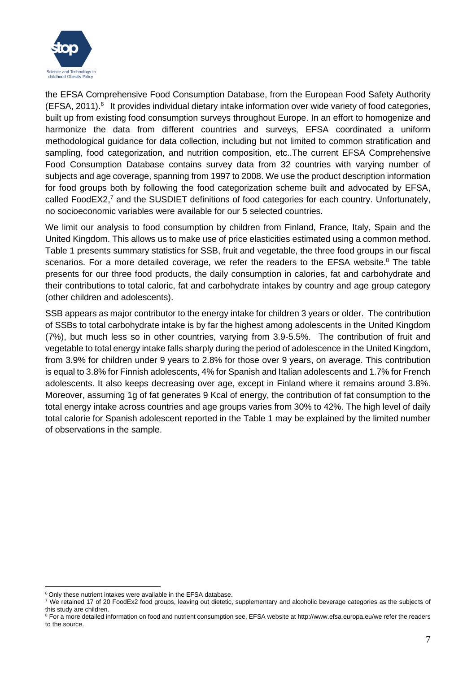

the EFSA Comprehensive Food Consumption Database, from the European Food Safety Authority (EFSA, 2011).<sup>6</sup> It provides individual dietary intake information over wide variety of food categories, built up from existing food consumption surveys throughout Europe. In an effort to homogenize and harmonize the data from different countries and surveys, EFSA coordinated a uniform methodological guidance for data collection, including but not limited to common stratification and sampling, food categorization, and nutrition composition, etc..The current EFSA Comprehensive Food Consumption Database contains survey data from 32 countries with varying number of subjects and age coverage, spanning from 1997 to 2008. We use the product description information for food groups both by following the food categorization scheme built and advocated by EFSA, called FoodEX2,<sup>7</sup> and the SUSDIET definitions of food categories for each country. Unfortunately, no socioeconomic variables were available for our 5 selected countries.

We limit our analysis to food consumption by children from Finland, France, Italy, Spain and the United Kingdom. This allows us to make use of price elasticities estimated using a common method. Table 1 presents summary statistics for SSB, fruit and vegetable, the three food groups in our fiscal scenarios. For a more detailed coverage, we refer the readers to the EFSA website. $8$  The table presents for our three food products, the daily consumption in calories, fat and carbohydrate and their contributions to total caloric, fat and carbohydrate intakes by country and age group category (other children and adolescents).

SSB appears as major contributor to the energy intake for children 3 years or older. The contribution of SSBs to total carbohydrate intake is by far the highest among adolescents in the United Kingdom (7%), but much less so in other countries, varying from 3.9-5.5%. The contribution of fruit and vegetable to total energy intake falls sharply during the period of adolescence in the United Kingdom, from 3.9% for children under 9 years to 2.8% for those over 9 years, on average. This contribution is equal to 3.8% for Finnish adolescents, 4% for Spanish and Italian adolescents and 1.7% for French adolescents. It also keeps decreasing over age, except in Finland where it remains around 3.8%. Moreover, assuming 1g of fat generates 9 Kcal of energy, the contribution of fat consumption to the total energy intake across countries and age groups varies from 30% to 42%. The high level of daily total calorie for Spanish adolescent reported in the Table 1 may be explained by the limited number of observations in the sample.

<sup>&</sup>lt;sup>6</sup> Only these nutrient intakes were available in the EFSA database.

<sup>&</sup>lt;sup>7</sup> We retained 17 of 20 FoodEx2 food groups, leaving out dietetic, supplementary and alcoholic beverage categories as the subjects of this study are children.

<sup>&</sup>lt;sup>8</sup> For a more detailed information on food and nutrient consumption see, EFSA website a[t http://www.efsa.europa.eu/w](http://www.efsa.europa.eu/)e refer the readers to the source.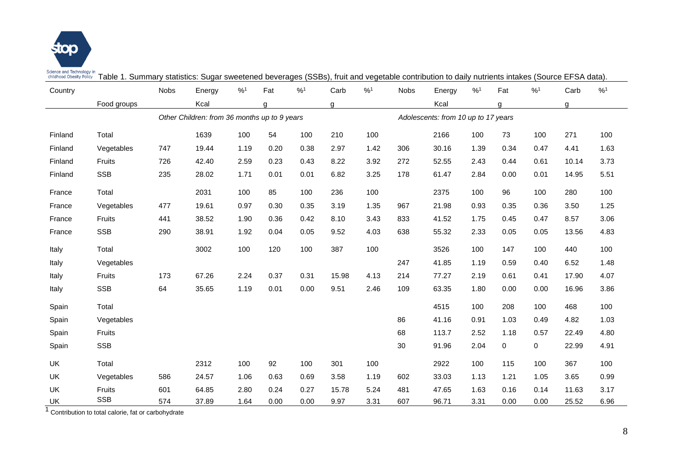

Science and Technology in<br>childhood Obesity Policy Table 1. Summary statistics: Sugar sweetened beverages (SSBs), fruit and vegetable contribution to daily nutrients intakes (Source EFSA data).

| Country   |               | <b>Nobs</b> | Energy                                       | %1   | Fat  | %1   | Carb  | %1   | <b>Nobs</b> | Energy                              | %1   | Fat  | %1          | Carb  | %1   |
|-----------|---------------|-------------|----------------------------------------------|------|------|------|-------|------|-------------|-------------------------------------|------|------|-------------|-------|------|
|           | Food groups   |             | Kcal                                         |      | q    |      | a     |      |             | Kcal                                |      | a    |             | a     |      |
|           |               |             | Other Children: from 36 months up to 9 years |      |      |      |       |      |             | Adolescents: from 10 up to 17 years |      |      |             |       |      |
| Finland   | Total         |             | 1639                                         | 100  | 54   | 100  | 210   | 100  |             | 2166                                | 100  | 73   | 100         | 271   | 100  |
| Finland   | Vegetables    | 747         | 19.44                                        | 1.19 | 0.20 | 0.38 | 2.97  | 1.42 | 306         | 30.16                               | 1.39 | 0.34 | 0.47        | 4.41  | 1.63 |
| Finland   | Fruits        | 726         | 42.40                                        | 2.59 | 0.23 | 0.43 | 8.22  | 3.92 | 272         | 52.55                               | 2.43 | 0.44 | 0.61        | 10.14 | 3.73 |
| Finland   | <b>SSB</b>    | 235         | 28.02                                        | 1.71 | 0.01 | 0.01 | 6.82  | 3.25 | 178         | 61.47                               | 2.84 | 0.00 | 0.01        | 14.95 | 5.51 |
| France    | Total         |             | 2031                                         | 100  | 85   | 100  | 236   | 100  |             | 2375                                | 100  | 96   | 100         | 280   | 100  |
| France    | Vegetables    | 477         | 19.61                                        | 0.97 | 0.30 | 0.35 | 3.19  | 1.35 | 967         | 21.98                               | 0.93 | 0.35 | 0.36        | 3.50  | 1.25 |
| France    | <b>Fruits</b> | 441         | 38.52                                        | 1.90 | 0.36 | 0.42 | 8.10  | 3.43 | 833         | 41.52                               | 1.75 | 0.45 | 0.47        | 8.57  | 3.06 |
| France    | <b>SSB</b>    | 290         | 38.91                                        | 1.92 | 0.04 | 0.05 | 9.52  | 4.03 | 638         | 55.32                               | 2.33 | 0.05 | 0.05        | 13.56 | 4.83 |
| Italy     | Total         |             | 3002                                         | 100  | 120  | 100  | 387   | 100  |             | 3526                                | 100  | 147  | 100         | 440   | 100  |
| Italy     | Vegetables    |             |                                              |      |      |      |       |      | 247         | 41.85                               | 1.19 | 0.59 | 0.40        | 6.52  | 1.48 |
| Italy     | Fruits        | 173         | 67.26                                        | 2.24 | 0.37 | 0.31 | 15.98 | 4.13 | 214         | 77.27                               | 2.19 | 0.61 | 0.41        | 17.90 | 4.07 |
| Italy     | <b>SSB</b>    | 64          | 35.65                                        | 1.19 | 0.01 | 0.00 | 9.51  | 2.46 | 109         | 63.35                               | 1.80 | 0.00 | 0.00        | 16.96 | 3.86 |
| Spain     | Total         |             |                                              |      |      |      |       |      |             | 4515                                | 100  | 208  | 100         | 468   | 100  |
| Spain     | Vegetables    |             |                                              |      |      |      |       |      | 86          | 41.16                               | 0.91 | 1.03 | 0.49        | 4.82  | 1.03 |
| Spain     | Fruits        |             |                                              |      |      |      |       |      | 68          | 113.7                               | 2.52 | 1.18 | 0.57        | 22.49 | 4.80 |
| Spain     | <b>SSB</b>    |             |                                              |      |      |      |       |      | 30          | 91.96                               | 2.04 | 0    | $\mathbf 0$ | 22.99 | 4.91 |
| <b>UK</b> | Total         |             | 2312                                         | 100  | 92   | 100  | 301   | 100  |             | 2922                                | 100  | 115  | 100         | 367   | 100  |
| <b>UK</b> | Vegetables    | 586         | 24.57                                        | 1.06 | 0.63 | 0.69 | 3.58  | 1.19 | 602         | 33.03                               | 1.13 | 1.21 | 1.05        | 3.65  | 0.99 |
| <b>UK</b> | <b>Fruits</b> | 601         | 64.85                                        | 2.80 | 0.24 | 0.27 | 15.78 | 5.24 | 481         | 47.65                               | 1.63 | 0.16 | 0.14        | 11.63 | 3.17 |
| UK        | <b>SSB</b>    | 574         | 37.89                                        | 1.64 | 0.00 | 0.00 | 9.97  | 3.31 | 607         | 96.71                               | 3.31 | 0.00 | 0.00        | 25.52 | 6.96 |

1 Contribution to total calorie, fat or carbohydrate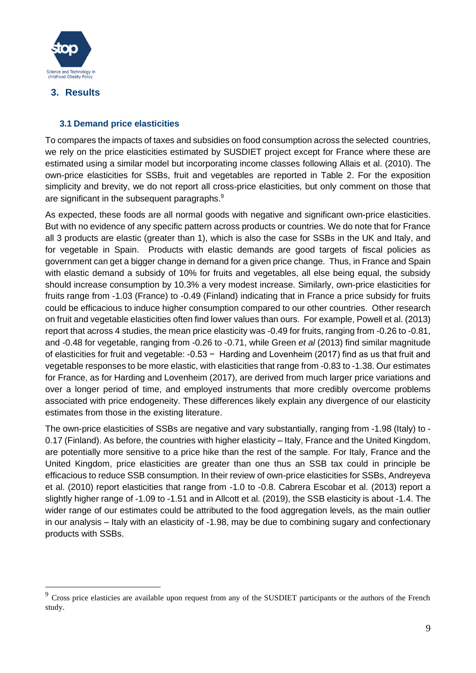

### <span id="page-8-0"></span>**3. Results**

### <span id="page-8-1"></span>**3.1 Demand price elasticities**

To compares the impacts of taxes and subsidies on food consumption across the selected countries, we rely on the price elasticities estimated by SUSDIET project except for France where these are estimated using a similar model but incorporating income classes following Allais et al. (2010). The own-price elasticities for SSBs, fruit and vegetables are reported in Table 2. For the exposition simplicity and brevity, we do not report all cross-price elasticities, but only comment on those that are significant in the subsequent paragraphs.<sup>9</sup>

As expected, these foods are all normal goods with negative and significant own-price elasticities. But with no evidence of any specific pattern across products or countries. We do note that for France all 3 products are elastic (greater than 1), which is also the case for SSBs in the UK and Italy, and for vegetable in Spain. Products with elastic demands are good targets of fiscal policies as government can get a bigger change in demand for a given price change. Thus, in France and Spain with elastic demand a subsidy of 10% for fruits and vegetables, all else being equal, the subsidy should increase consumption by 10.3% a very modest increase. Similarly, own-price elasticities for fruits range from -1.03 (France) to -0.49 (Finland) indicating that in France a price subsidy for fruits could be efficacious to induce higher consumption compared to our other countries. Other research on fruit and vegetable elasticities often find lower values than ours. For example, Powell et al. (2013) report that across 4 studies, the mean price elasticity was -0.49 for fruits, ranging from -0.26 to -0.81, and -0.48 for vegetable, ranging from -0.26 to -0.71, while Green *et al* (2013) find similar magnitude of elasticities for fruit and vegetable: -0.53 − Harding and Lovenheim (2017) find as us that fruit and vegetable responses to be more elastic, with elasticities that range from -0.83 to -1.38. Our estimates for France, as for Harding and Lovenheim (2017), are derived from much larger price variations and over a longer period of time, and employed instruments that more credibly overcome problems associated with price endogeneity. These differences likely explain any divergence of our elasticity estimates from those in the existing literature.

The own-price elasticities of SSBs are negative and vary substantially, ranging from -1.98 (Italy) to - 0.17 (Finland). As before, the countries with higher elasticity – Italy, France and the United Kingdom, are potentially more sensitive to a price hike than the rest of the sample. For Italy, France and the United Kingdom, price elasticities are greater than one thus an SSB tax could in principle be efficacious to reduce SSB consumption. In their review of own-price elasticities for SSBs, Andreyeva et al. (2010) report elasticities that range from -1.0 to -0.8. Cabrera Escobar et al. (2013) report a slightly higher range of -1.09 to -1.51 and in Allcott et al. (2019), the SSB elasticity is about -1.4. The wider range of our estimates could be attributed to the food aggregation levels, as the main outlier in our analysis – Italy with an elasticity of -1.98, may be due to combining sugary and confectionary products with SSBs.

<sup>&</sup>lt;sup>9</sup> Cross price elasticies are available upon request from any of the SUSDIET participants or the authors of the French study.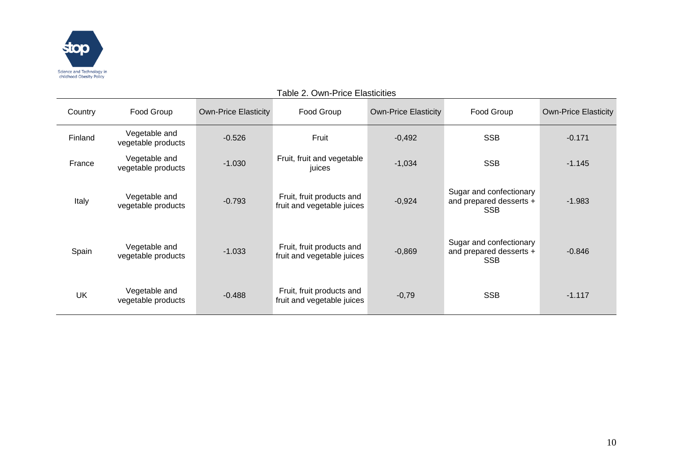

| Table 2. Own-Price Elasticities |                                     |                             |                                                         |                             |                                                                  |                             |  |  |  |
|---------------------------------|-------------------------------------|-----------------------------|---------------------------------------------------------|-----------------------------|------------------------------------------------------------------|-----------------------------|--|--|--|
| Country                         | Food Group                          | <b>Own-Price Elasticity</b> | Food Group                                              | <b>Own-Price Elasticity</b> | Food Group                                                       | <b>Own-Price Elasticity</b> |  |  |  |
| Finland                         | Vegetable and<br>vegetable products | $-0.526$                    | Fruit                                                   | $-0,492$                    | <b>SSB</b>                                                       | $-0.171$                    |  |  |  |
| France                          | Vegetable and<br>vegetable products | $-1.030$                    | Fruit, fruit and vegetable<br>juices                    | $-1,034$                    | <b>SSB</b>                                                       | $-1.145$                    |  |  |  |
| Italy                           | Vegetable and<br>vegetable products | $-0.793$                    | Fruit, fruit products and<br>fruit and vegetable juices | $-0,924$                    | Sugar and confectionary<br>and prepared desserts +<br><b>SSB</b> | $-1.983$                    |  |  |  |
| Spain                           | Vegetable and<br>vegetable products | $-1.033$                    | Fruit, fruit products and<br>fruit and vegetable juices | $-0,869$                    | Sugar and confectionary<br>and prepared desserts +<br><b>SSB</b> | $-0.846$                    |  |  |  |
| UK                              | Vegetable and<br>vegetable products | $-0.488$                    | Fruit, fruit products and<br>fruit and vegetable juices | $-0,79$                     | <b>SSB</b>                                                       | $-1.117$                    |  |  |  |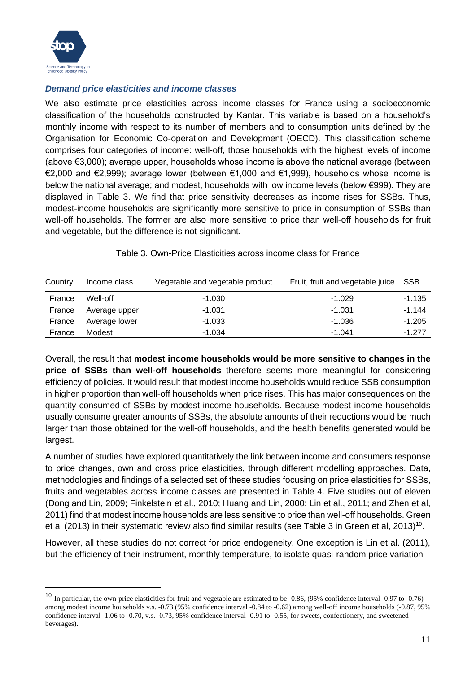

### *Demand price elasticities and income classes*

We also estimate price elasticities across income classes for France using a socioeconomic classification of the households constructed by Kantar. This variable is based on a household's monthly income with respect to its number of members and to consumption units defined by the Organisation for Economic Co-operation and Development (OECD). This classification scheme comprises four categories of income: well-off, those households with the highest levels of income (above €3,000); average upper, households whose income is above the national average (between €2,000 and €2,999); average lower (between €1,000 and €1,999), households whose income is below the national average; and modest, households with low income levels (below €999). They are displayed in Table 3. We find that price sensitivity decreases as income rises for SSBs. Thus, modest-income households are significantly more sensitive to price in consumption of SSBs than well-off households. The former are also more sensitive to price than well-off households for fruit and vegetable, but the difference is not significant.

| Country | Income class  | Vegetable and vegetable product | Fruit, fruit and vegetable juice | SSB      |
|---------|---------------|---------------------------------|----------------------------------|----------|
| France  | Well-off      | $-1.030$                        | $-1.029$                         | $-1.135$ |
| France  | Average upper | $-1.031$                        | $-1.031$                         | $-1.144$ |
| France  | Average lower | $-1.033$                        | $-1.036$                         | -1.205   |
| France  | Modest        | $-1.034$                        | $-1.041$                         | $-1.277$ |

#### Table 3. Own-Price Elasticities across income class for France

Overall, the result that **modest income households would be more sensitive to changes in the price of SSBs than well-off households** therefore seems more meaningful for considering efficiency of policies. It would result that modest income households would reduce SSB consumption in higher proportion than well-off households when price rises. This has major consequences on the quantity consumed of SSBs by modest income households. Because modest income households usually consume greater amounts of SSBs, the absolute amounts of their reductions would be much larger than those obtained for the well-off households, and the health benefits generated would be largest.

A number of studies have explored quantitatively the link between income and consumers response to price changes, own and cross price elasticities, through different modelling approaches. Data, methodologies and findings of a selected set of these studies focusing on price elasticities for SSBs, fruits and vegetables across income classes are presented in Table 4. Five studies out of eleven (Dong and Lin, 2009; Finkelstein et al., 2010; Huang and Lin, 2000; Lin et al., 2011; and Zhen et al, 2011) find that modest income households are less sensitive to price than well-off households. Green et al (2013) in their systematic review also find similar results (see Table 3 in Green et al, 2013)<sup>10</sup>.

However, all these studies do not correct for price endogeneity. One exception is Lin et al. (2011), but the efficiency of their instrument, monthly temperature, to isolate quasi-random price variation

 $10$  In particular, the own-price elasticities for fruit and vegetable are estimated to be  $-0.86$ ,  $(95%$  confidence interval  $-0.97$  to  $-0.76$ ) among modest income households v.s. -0.73 (95% confidence interval -0.84 to -0.62) among well-off income households (-0.87, 95% confidence interval -1.06 to -0.70, v.s. -0.73, 95% confidence interval -0.91 to -0.55, for sweets, confectionery, and sweetened beverages).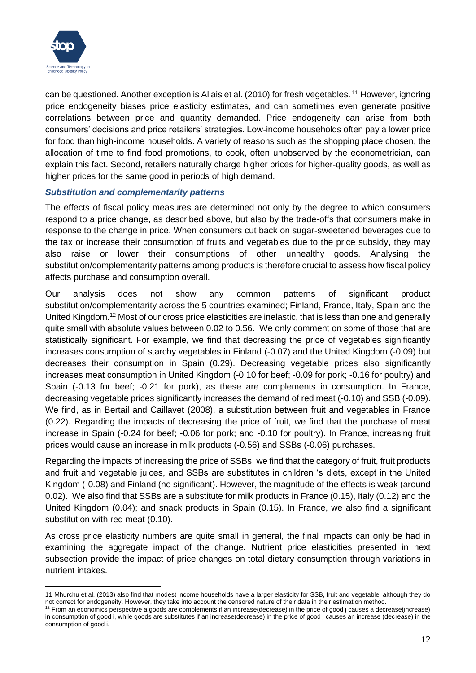

can be questioned. Another exception is Allais et al. (2010) for fresh vegetables. <sup>11</sup> However, ignoring price endogeneity biases price elasticity estimates, and can sometimes even generate positive correlations between price and quantity demanded. Price endogeneity can arise from both consumers' decisions and price retailers' strategies. Low-income households often pay a lower price for food than high-income households. A variety of reasons such as the shopping place chosen, the allocation of time to find food promotions, to cook, often unobserved by the econometrician, can explain this fact. Second, retailers naturally charge higher prices for higher-quality goods, as well as higher prices for the same good in periods of high demand.

### *Substitution and complementarity patterns*

The effects of fiscal policy measures are determined not only by the degree to which consumers respond to a price change, as described above, but also by the trade-offs that consumers make in response to the change in price. When consumers cut back on sugar-sweetened beverages due to the tax or increase their consumption of fruits and vegetables due to the price subsidy, they may also raise or lower their consumptions of other unhealthy goods. Analysing the substitution/complementarity patterns among products is therefore crucial to assess how fiscal policy affects purchase and consumption overall.

Our analysis does not show any common patterns of significant product substitution/complementarity across the 5 countries examined; Finland, France, Italy, Spain and the United Kingdom.<sup>12</sup> Most of our cross price elasticities are inelastic, that is less than one and generally quite small with absolute values between 0.02 to 0.56. We only comment on some of those that are statistically significant. For example, we find that decreasing the price of vegetables significantly increases consumption of starchy vegetables in Finland (-0.07) and the United Kingdom (-0.09) but decreases their consumption in Spain (0.29). Decreasing vegetable prices also significantly increases meat consumption in United Kingdom (-0.10 for beef; -0.09 for pork; -0.16 for poultry) and Spain (-0.13 for beef; -0.21 for pork), as these are complements in consumption. In France, decreasing vegetable prices significantly increases the demand of red meat (-0.10) and SSB (-0.09). We find, as in Bertail and Caillavet (2008), a substitution between fruit and vegetables in France (0.22). Regarding the impacts of decreasing the price of fruit, we find that the purchase of meat increase in Spain (-0.24 for beef; -0.06 for pork; and -0.10 for poultry). In France, increasing fruit prices would cause an increase in milk products (-0.56) and SSBs (-0.06) purchases.

Regarding the impacts of increasing the price of SSBs, we find that the category of fruit, fruit products and fruit and vegetable juices, and SSBs are substitutes in children 's diets, except in the United Kingdom (-0.08) and Finland (no significant). However, the magnitude of the effects is weak (around 0.02). We also find that SSBs are a substitute for milk products in France (0.15), Italy (0.12) and the United Kingdom (0.04); and snack products in Spain (0.15). In France, we also find a significant substitution with red meat (0.10).

As cross price elasticity numbers are quite small in general, the final impacts can only be had in examining the aggregate impact of the change. Nutrient price elasticities presented in next subsection provide the impact of price changes on total dietary consumption through variations in nutrient intakes.

<sup>11</sup> Mhurchu et al. (2013) also find that modest income households have a larger elasticity for SSB, fruit and vegetable, although they do not correct for endogeneity. However, they take into account the censored nature of their data in their estimation method.

<sup>&</sup>lt;sup>12</sup> From an economics perspective a goods are complements if an increase(decrease) in the price of good j causes a decrease(increase) in consumption of good i, while goods are substitutes if an increase(decrease) in the price of good j causes an increase (decrease) in the consumption of good i.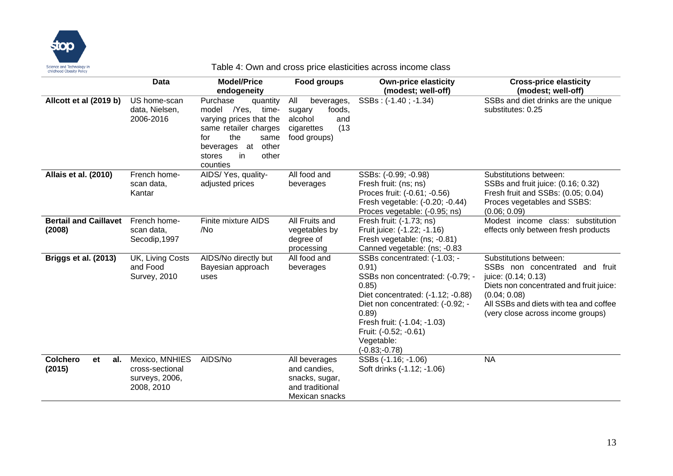

### Table 4: Own and cross price elasticities across income class

|                                        | Data                                                              | <b>Model/Price</b><br>endogeneity                                                                                                                                                     | <b>Food groups</b>                                                                            | <b>Own-price elasticity</b><br>(modest; well-off)                                                                                                                                                                                                             | <b>Cross-price elasticity</b><br>(modest; well-off)                                                                                                                                                                        |
|----------------------------------------|-------------------------------------------------------------------|---------------------------------------------------------------------------------------------------------------------------------------------------------------------------------------|-----------------------------------------------------------------------------------------------|---------------------------------------------------------------------------------------------------------------------------------------------------------------------------------------------------------------------------------------------------------------|----------------------------------------------------------------------------------------------------------------------------------------------------------------------------------------------------------------------------|
| Allcott et al (2019 b)                 | US home-scan<br>data, Nielsen,<br>2006-2016                       | Purchase<br>quantity<br>model /Yes,<br>time-<br>varying prices that the<br>same retailer charges<br>the<br>for<br>same<br>other<br>beverages at<br>other<br>in.<br>stores<br>counties | All<br>beverages,<br>foods,<br>sugary<br>alcohol<br>and<br>(13)<br>cigarettes<br>food groups) | SSBs: (-1.40; -1.34)                                                                                                                                                                                                                                          | SSBs and diet drinks are the unique<br>substitutes: 0.25                                                                                                                                                                   |
| Allais et al. (2010)                   | French home-<br>scan data,<br>Kantar                              | AIDS/Yes, quality-<br>adjusted prices                                                                                                                                                 | All food and<br>beverages                                                                     | SSBs: (-0.99; -0.98)<br>Fresh fruit: (ns; ns)<br>Proces fruit: (-0.61; -0.56)<br>Fresh vegetable: (-0.20; -0.44)<br>Proces vegetable: (-0.95; ns)                                                                                                             | Substitutions between:<br>SSBs and fruit juice: (0.16; 0.32)<br>Fresh fruit and SSBs: (0.05; 0.04)<br>Proces vegetables and SSBS:<br>(0.06; 0.09)                                                                          |
| <b>Bertail and Caillavet</b><br>(2008) | French home-<br>scan data,<br>Secodip, 1997                       | Finite mixture AIDS<br>/No                                                                                                                                                            | All Fruits and<br>vegetables by<br>degree of<br>processing                                    | Fresh fruit: (-1.73; ns)<br>Fruit juice: (-1.22; -1.16)<br>Fresh vegetable: (ns; -0.81)<br>Canned vegetable: (ns; -0.83                                                                                                                                       | Modest income class: substitution<br>effects only between fresh products                                                                                                                                                   |
| Briggs et al. (2013)                   | UK, Living Costs<br>and Food<br><b>Survey, 2010</b>               | AIDS/No directly but<br>Bayesian approach<br>uses                                                                                                                                     | All food and<br>beverages                                                                     | SSBs concentrated: (-1.03; -<br>0.91)<br>SSBs non concentrated: (-0.79; -<br>0.85)<br>Diet concentrated: (-1.12; -0.88)<br>Diet non concentrated: (-0.92; -<br>0.89)<br>Fresh fruit: (-1.04; -1.03)<br>Fruit: (-0.52; -0.61)<br>Vegetable:<br>$(-0.83,-0.78)$ | Substitutions between:<br>SSBs non concentrated and fruit<br>juice: (0.14; 0.13)<br>Diets non concentrated and fruit juice:<br>(0.04; 0.08)<br>All SSBs and diets with tea and coffee<br>(very close across income groups) |
| <b>Colchero</b><br>et<br>al.<br>(2015) | Mexico, MNHIES<br>cross-sectional<br>surveys, 2006,<br>2008, 2010 | AIDS/No                                                                                                                                                                               | All beverages<br>and candies.<br>snacks, sugar,<br>and traditional<br>Mexican snacks          | SSBs (-1.16; -1.06)<br>Soft drinks (-1.12; -1.06)                                                                                                                                                                                                             | <b>NA</b>                                                                                                                                                                                                                  |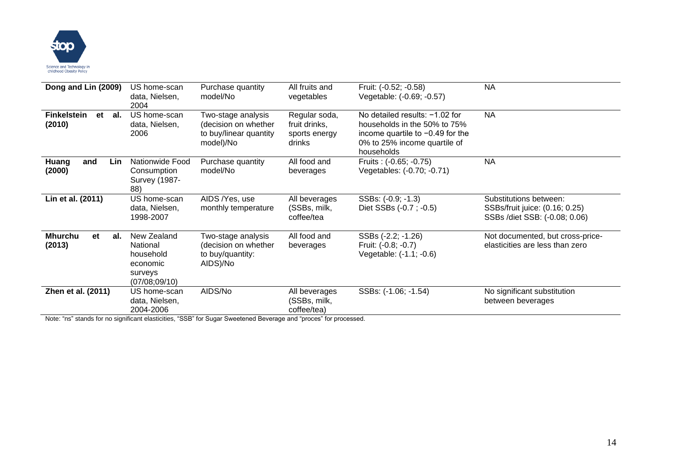

| Dong and Lin (2009)                       | US home-scan<br>data, Nielsen,<br>2004                                       | Purchase quantity<br>model/No                                                     | All fruits and<br>vegetables                              | Fruit: (-0.52; -0.58)<br>Vegetable: (-0.69; -0.57)                                                                                                 | <b>NA</b>                                                                                 |
|-------------------------------------------|------------------------------------------------------------------------------|-----------------------------------------------------------------------------------|-----------------------------------------------------------|----------------------------------------------------------------------------------------------------------------------------------------------------|-------------------------------------------------------------------------------------------|
| <b>Finkelstein</b><br>al.<br>et<br>(2010) | US home-scan<br>data, Nielsen,<br>2006                                       | Two-stage analysis<br>(decision on whether<br>to buy/linear quantity<br>model)/No | Regular soda,<br>fruit drinks,<br>sports energy<br>drinks | No detailed results: -1.02 for<br>households in the 50% to 75%<br>income quartile to $-0.49$ for the<br>0% to 25% income quartile of<br>households | <b>NA</b>                                                                                 |
| Huang<br>and<br>Lin<br>(2000)             | Nationwide Food<br>Consumption<br><b>Survey (1987-</b><br>88)                | Purchase quantity<br>model/No                                                     | All food and<br>beverages                                 | Fruits: (-0.65; -0.75)<br>Vegetables: (-0.70; -0.71)                                                                                               | <b>NA</b>                                                                                 |
| Lin et al. (2011)                         | US home-scan<br>data, Nielsen,<br>1998-2007                                  | AIDS /Yes, use<br>monthly temperature                                             | All beverages<br>(SSBs, milk,<br>coffee/tea               | SSBs: (-0.9; -1.3)<br>Diet SSBs (-0.7; -0.5)                                                                                                       | Substitutions between:<br>SSBs/fruit juice: (0.16; 0.25)<br>SSBs /diet SSB: (-0.08; 0.06) |
| <b>Mhurchu</b><br>et<br>al.<br>(2013)     | New Zealand<br>National<br>household<br>economic<br>surveys<br>(07/08;09/10) | Two-stage analysis<br>(decision on whether<br>to buy/quantity:<br>AIDS)/No        | All food and<br>beverages                                 | SSBs (-2.2; -1.26)<br>Fruit: (-0.8; -0.7)<br>Vegetable: (-1.1; -0.6)                                                                               | Not documented, but cross-price-<br>elasticities are less than zero                       |
| Zhen et al. (2011)                        | US home-scan<br>data, Nielsen,<br>2004-2006                                  | AIDS/No                                                                           | All beverages<br>(SSBs, milk,<br>coffee/tea)              | SSBs: (-1.06; -1.54)                                                                                                                               | No significant substitution<br>between beverages                                          |

Note: "ns" stands for no significant elasticities, "SSB" for Sugar Sweetened Beverage and "proces" for processed.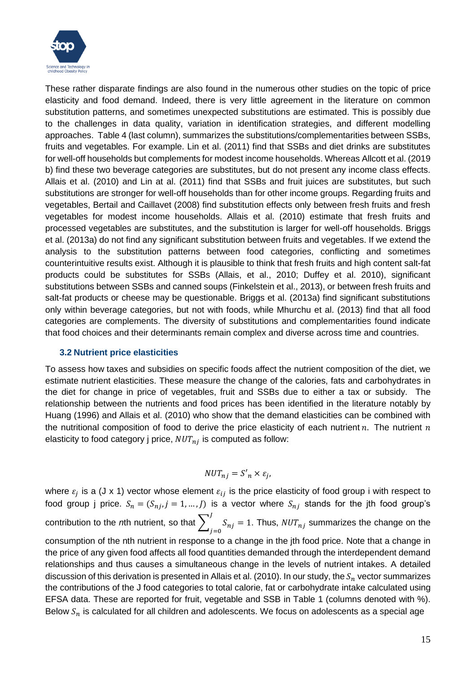

These rather disparate findings are also found in the numerous other studies on the topic of price elasticity and food demand. Indeed, there is very little agreement in the literature on common substitution patterns, and sometimes unexpected substitutions are estimated. This is possibly due to the challenges in data quality, variation in identification strategies, and different modelling approaches. Table 4 (last column), summarizes the substitutions/complementarities between SSBs, fruits and vegetables. For example. Lin et al. (2011) find that SSBs and diet drinks are substitutes for well-off households but complements for modest income households. Whereas Allcott et al. (2019 b) find these two beverage categories are substitutes, but do not present any income class effects. Allais et al. (2010) and Lin at al. (2011) find that SSBs and fruit juices are substitutes, but such substitutions are stronger for well-off households than for other income groups. Regarding fruits and vegetables, Bertail and Caillavet (2008) find substitution effects only between fresh fruits and fresh vegetables for modest income households. Allais et al. (2010) estimate that fresh fruits and processed vegetables are substitutes, and the substitution is larger for well-off households. Briggs et al. (2013a) do not find any significant substitution between fruits and vegetables. If we extend the analysis to the substitution patterns between food categories, conflicting and sometimes counterintuitive results exist. Although it is plausible to think that fresh fruits and high content salt-fat products could be substitutes for SSBs (Allais, et al., 2010; Duffey et al. 2010), significant substitutions between SSBs and canned soups (Finkelstein et al., 2013), or between fresh fruits and salt-fat products or cheese may be questionable. Briggs et al. (2013a) find significant substitutions only within beverage categories, but not with foods, while Mhurchu et al. (2013) find that all food categories are complements. The diversity of substitutions and complementarities found indicate that food choices and their determinants remain complex and diverse across time and countries.

#### <span id="page-14-0"></span>**3.2 Nutrient price elasticities**

To assess how taxes and subsidies on specific foods affect the nutrient composition of the diet, we estimate nutrient elasticities. These measure the change of the calories, fats and carbohydrates in the diet for change in price of vegetables, fruit and SSBs due to either a tax or subsidy. The relationship between the nutrients and food prices has been identified in the literature notably by Huang (1996) and Allais et al. (2010) who show that the demand elasticities can be combined with the nutritional composition of food to derive the price elasticity of each nutrient  $n$ . The nutrient  $n$ elasticity to food category j price,  $NUT_{nj}$  is computed as follow:

$$
NUT_{nj} = S'_n \times \varepsilon_j,
$$

where  $\varepsilon_j$  is a (J x 1) vector whose element  $\varepsilon_{ij}$  is the price elasticity of food group i with respect to food group j price.  $S_n = (S_{nj}, j = 1, ..., J)$  is a vector where  $S_{nj}$  stands for the jth food group's contribution to the *n*th nutrient, so that  $\sum_{i=1}^{\infty} S_{ij}$ J  $S_{nj} = 1$ . Thus,  $NUT_{nj}$  summarizes the change on the consumption of the nth nutrient in response to a change in the jth food price. Note that a change in the price of any given food affects all food quantities demanded through the interdependent demand relationships and thus causes a simultaneous change in the levels of nutrient intakes. A detailed discussion of this derivation is presented in Allais et al. (2010). In our study, the  $S_n$  vector summarizes the contributions of the J food categories to total calorie, fat or carbohydrate intake calculated using EFSA data. These are reported for fruit, vegetable and SSB in Table 1 (columns denoted with %). Below  $S_n$  is calculated for all children and adolescents. We focus on adolescents as a special age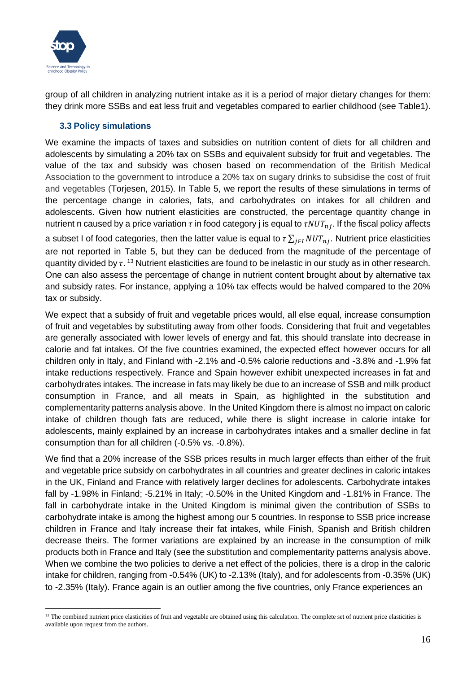

group of all children in analyzing nutrient intake as it is a period of major dietary changes for them: they drink more SSBs and eat less fruit and vegetables compared to earlier childhood (see Table1).

### <span id="page-15-0"></span>**3.3 Policy simulations**

We examine the impacts of taxes and subsidies on nutrition content of diets for all children and adolescents by simulating a 20% tax on SSBs and equivalent subsidy for fruit and vegetables. The value of the tax and subsidy was chosen based on recommendation of the British Medical Association to the government to introduce a 20% tax on sugary drinks to subsidise the cost of fruit and vegetables (Torjesen, 2015). In Table 5, we report the results of these simulations in terms of the percentage change in calories, fats, and carbohydrates on intakes for all children and adolescents. Given how nutrient elasticities are constructed, the percentage quantity change in nutrient n caused by a price variation  $\tau$  in food category j is equal to  $\tau NUT_{ni}$ . If the fiscal policy affects a subset I of food categories, then the latter value is equal to  $\tau \sum_{i \in I} NUT_{ni}$ . Nutrient price elasticities are not reported in Table 5, but they can be deduced from the magnitude of the percentage of quantity divided by  $\tau$ . <sup>13</sup> Nutrient elasticities are found to be inelastic in our study as in other research. One can also assess the percentage of change in nutrient content brought about by alternative tax and subsidy rates. For instance, applying a 10% tax effects would be halved compared to the 20% tax or subsidy.

We expect that a subsidy of fruit and vegetable prices would, all else equal, increase consumption of fruit and vegetables by substituting away from other foods. Considering that fruit and vegetables are generally associated with lower levels of energy and fat, this should translate into decrease in calorie and fat intakes. Of the five countries examined, the expected effect however occurs for all children only in Italy, and Finland with -2.1% and -0.5% calorie reductions and -3.8% and -1.9% fat intake reductions respectively. France and Spain however exhibit unexpected increases in fat and carbohydrates intakes. The increase in fats may likely be due to an increase of SSB and milk product consumption in France, and all meats in Spain, as highlighted in the substitution and complementarity patterns analysis above. In the United Kingdom there is almost no impact on caloric intake of children though fats are reduced, while there is slight increase in calorie intake for adolescents, mainly explained by an increase in carbohydrates intakes and a smaller decline in fat consumption than for all children (-0.5% vs. -0.8%).

We find that a 20% increase of the SSB prices results in much larger effects than either of the fruit and vegetable price subsidy on carbohydrates in all countries and greater declines in caloric intakes in the UK, Finland and France with relatively larger declines for adolescents. Carbohydrate intakes fall by -1.98% in Finland; -5.21% in Italy; -0.50% in the United Kingdom and -1.81% in France. The fall in carbohydrate intake in the United Kingdom is minimal given the contribution of SSBs to carbohydrate intake is among the highest among our 5 countries. In response to SSB price increase children in France and Italy increase their fat intakes, while Finish, Spanish and British children decrease theirs. The former variations are explained by an increase in the consumption of milk products both in France and Italy (see the substitution and complementarity patterns analysis above. When we combine the two policies to derive a net effect of the policies, there is a drop in the caloric intake for children, ranging from -0.54% (UK) to -2.13% (Italy), and for adolescents from -0.35% (UK) to -2.35% (Italy). France again is an outlier among the five countries, only France experiences an

<sup>&</sup>lt;sup>13</sup> The combined nutrient price elasticities of fruit and vegetable are obtained using this calculation. The complete set of nutrient price elasticities is available upon request from the authors.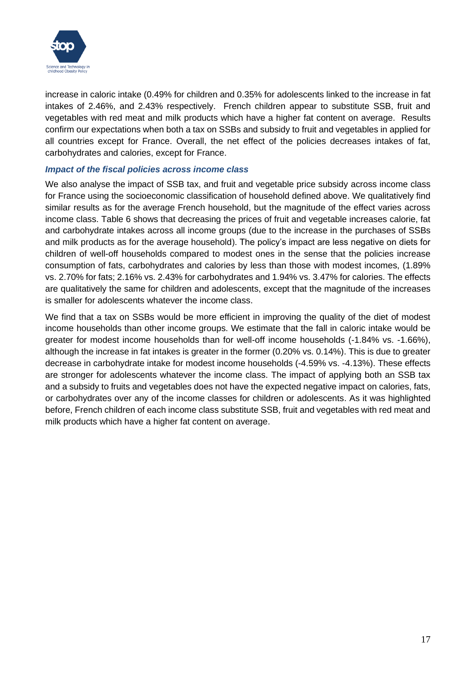

increase in caloric intake (0.49% for children and 0.35% for adolescents linked to the increase in fat intakes of 2.46%, and 2.43% respectively. French children appear to substitute SSB, fruit and vegetables with red meat and milk products which have a higher fat content on average. Results confirm our expectations when both a tax on SSBs and subsidy to fruit and vegetables in applied for all countries except for France. Overall, the net effect of the policies decreases intakes of fat, carbohydrates and calories, except for France.

#### *Impact of the fiscal policies across income class*

We also analyse the impact of SSB tax, and fruit and vegetable price subsidy across income class for France using the socioeconomic classification of household defined above. We qualitatively find similar results as for the average French household, but the magnitude of the effect varies across income class. Table 6 shows that decreasing the prices of fruit and vegetable increases calorie, fat and carbohydrate intakes across all income groups (due to the increase in the purchases of SSBs and milk products as for the average household). The policy's impact are less negative on diets for children of well-off households compared to modest ones in the sense that the policies increase consumption of fats, carbohydrates and calories by less than those with modest incomes, (1.89% vs. 2.70% for fats; 2.16% vs. 2.43% for carbohydrates and 1.94% vs. 3.47% for calories. The effects are qualitatively the same for children and adolescents, except that the magnitude of the increases is smaller for adolescents whatever the income class.

We find that a tax on SSBs would be more efficient in improving the quality of the diet of modest income households than other income groups. We estimate that the fall in caloric intake would be greater for modest income households than for well-off income households (-1.84% vs. -1.66%), although the increase in fat intakes is greater in the former (0.20% vs. 0.14%). This is due to greater decrease in carbohydrate intake for modest income households (-4.59% vs. -4.13%). These effects are stronger for adolescents whatever the income class. The impact of applying both an SSB tax and a subsidy to fruits and vegetables does not have the expected negative impact on calories, fats, or carbohydrates over any of the income classes for children or adolescents. As it was highlighted before, French children of each income class substitute SSB, fruit and vegetables with red meat and milk products which have a higher fat content on average.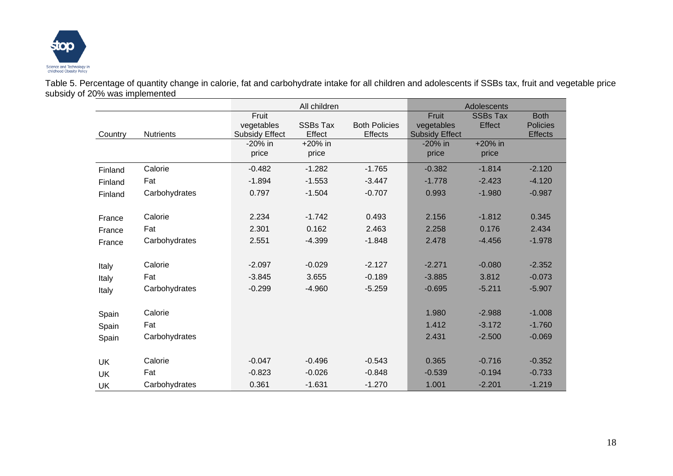

Table 5. Percentage of quantity change in calorie, fat and carbohydrate intake for all children and adolescents if SSBs tax, fruit and vegetable price subsidy of 20% was implemented

|           |                  |                       | All children    |                      |                                     | Adolescents               |                                |
|-----------|------------------|-----------------------|-----------------|----------------------|-------------------------------------|---------------------------|--------------------------------|
|           |                  | Fruit<br>vegetables   | <b>SSBs Tax</b> | <b>Both Policies</b> | Fruit                               | <b>SSBs Tax</b><br>Effect | <b>Both</b><br><b>Policies</b> |
| Country   | <b>Nutrients</b> | <b>Subsidy Effect</b> | Effect          | <b>Effects</b>       | vegetables<br><b>Subsidy Effect</b> |                           | <b>Effects</b>                 |
|           |                  | -20% in               | +20% in         |                      | -20% in                             | +20% in                   |                                |
|           |                  | price                 | price           |                      | price                               | price                     |                                |
| Finland   | Calorie          | $-0.482$              | $-1.282$        | $-1.765$             | $-0.382$                            | $-1.814$                  | $-2.120$                       |
| Finland   | Fat              | $-1.894$              | $-1.553$        | $-3.447$             | $-1.778$                            | $-2.423$                  | $-4.120$                       |
| Finland   | Carbohydrates    | 0.797                 | $-1.504$        | $-0.707$             | 0.993                               | $-1.980$                  | $-0.987$                       |
|           |                  |                       |                 |                      |                                     |                           |                                |
| France    | Calorie          | 2.234                 | $-1.742$        | 0.493                | 2.156                               | $-1.812$                  | 0.345                          |
| France    | Fat              | 2.301                 | 0.162           | 2.463                | 2.258                               | 0.176                     | 2.434                          |
| France    | Carbohydrates    | 2.551                 | $-4.399$        | $-1.848$             | 2.478                               | $-4.456$                  | $-1.978$                       |
|           |                  |                       |                 |                      |                                     |                           |                                |
| Italy     | Calorie          | $-2.097$              | $-0.029$        | $-2.127$             | $-2.271$                            | $-0.080$                  | $-2.352$                       |
| Italy     | Fat              | $-3.845$              | 3.655           | $-0.189$             | $-3.885$                            | 3.812                     | $-0.073$                       |
| Italy     | Carbohydrates    | $-0.299$              | $-4.960$        | $-5.259$             | $-0.695$                            | $-5.211$                  | $-5.907$                       |
|           |                  |                       |                 |                      |                                     |                           |                                |
| Spain     | Calorie          |                       |                 |                      | 1.980                               | $-2.988$                  | $-1.008$                       |
| Spain     | Fat              |                       |                 |                      | 1.412                               | $-3.172$                  | $-1.760$                       |
| Spain     | Carbohydrates    |                       |                 |                      | 2.431                               | $-2.500$                  | $-0.069$                       |
|           |                  |                       |                 |                      |                                     |                           |                                |
| <b>UK</b> | Calorie          | $-0.047$              | $-0.496$        | $-0.543$             | 0.365                               | $-0.716$                  | $-0.352$                       |
| <b>UK</b> | Fat              | $-0.823$              | $-0.026$        | $-0.848$             | $-0.539$                            | $-0.194$                  | $-0.733$                       |
| UK        | Carbohydrates    | 0.361                 | $-1.631$        | $-1.270$             | 1.001                               | $-2.201$                  | $-1.219$                       |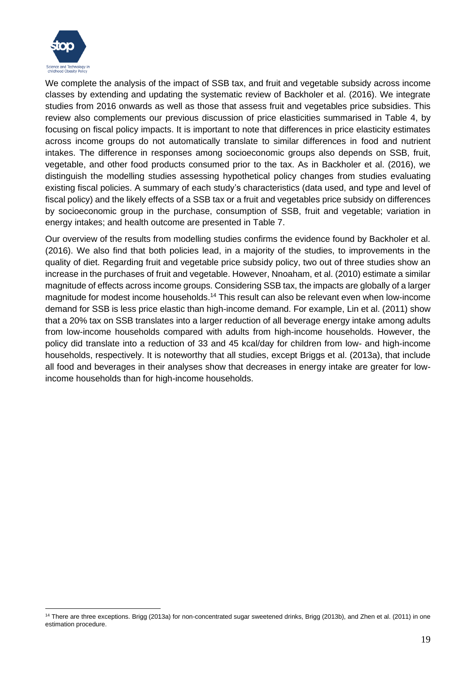

We complete the analysis of the impact of SSB tax, and fruit and vegetable subsidy across income classes by extending and updating the systematic review of Backholer et al. (2016). We integrate studies from 2016 onwards as well as those that assess fruit and vegetables price subsidies. This review also complements our previous discussion of price elasticities summarised in Table 4, by focusing on fiscal policy impacts. It is important to note that differences in price elasticity estimates across income groups do not automatically translate to similar differences in food and nutrient intakes. The difference in responses among socioeconomic groups also depends on SSB, fruit, vegetable, and other food products consumed prior to the tax. As in Backholer et al. (2016), we distinguish the modelling studies assessing hypothetical policy changes from studies evaluating existing fiscal policies. A summary of each study's characteristics (data used, and type and level of fiscal policy) and the likely effects of a SSB tax or a fruit and vegetables price subsidy on differences by socioeconomic group in the purchase, consumption of SSB, fruit and vegetable; variation in energy intakes; and health outcome are presented in Table 7.

Our overview of the results from modelling studies confirms the evidence found by Backholer et al. (2016). We also find that both policies lead, in a majority of the studies, to improvements in the quality of diet. Regarding fruit and vegetable price subsidy policy, two out of three studies show an increase in the purchases of fruit and vegetable. However, Nnoaham, et al. (2010) estimate a similar magnitude of effects across income groups. Considering SSB tax, the impacts are globally of a larger magnitude for modest income households.<sup>14</sup> This result can also be relevant even when low-income demand for SSB is less price elastic than high-income demand. For example, Lin et al. (2011) show that a 20% tax on SSB translates into a larger reduction of all beverage energy intake among adults from low-income households compared with adults from high-income households. However, the policy did translate into a reduction of 33 and 45 kcal/day for children from low- and high-income households, respectively. It is noteworthy that all studies, except Briggs et al. (2013a), that include all food and beverages in their analyses show that decreases in energy intake are greater for lowincome households than for high-income households.

<sup>&</sup>lt;sup>14</sup> There are three exceptions. Brigg (2013a) for non-concentrated sugar sweetened drinks, Brigg (2013b), and Zhen et al. (2011) in one estimation procedure.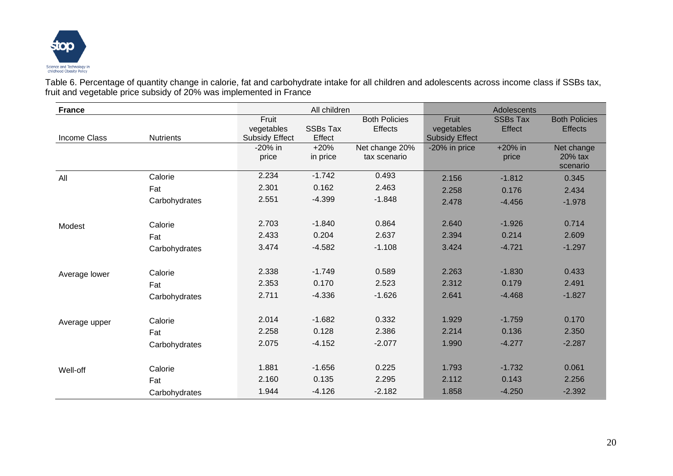

Table 6. Percentage of quantity change in calorie, fat and carbohydrate intake for all children and adolescents across income class if SSBs tax, fruit and vegetable price subsidy of 20% was implemented in France

| <b>France</b> |                  |                                              | All children              |                                 |                                              | Adolescents               |                                        |
|---------------|------------------|----------------------------------------------|---------------------------|---------------------------------|----------------------------------------------|---------------------------|----------------------------------------|
| Income Class  | <b>Nutrients</b> | Fruit<br>vegetables<br><b>Subsidy Effect</b> | <b>SSBs Tax</b><br>Effect | <b>Both Policies</b><br>Effects | Fruit<br>vegetables<br><b>Subsidy Effect</b> | <b>SSBs Tax</b><br>Effect | <b>Both Policies</b><br><b>Effects</b> |
|               |                  | $-20\%$ in<br>price                          | $+20%$<br>in price        | Net change 20%<br>tax scenario  | -20% in price                                | +20% in<br>price          | Net change<br>20% tax<br>scenario      |
| All           | Calorie          | 2.234                                        | $-1.742$                  | 0.493                           | 2.156                                        | $-1.812$                  | 0.345                                  |
|               | Fat              | 2.301                                        | 0.162                     | 2.463                           | 2.258                                        | 0.176                     | 2.434                                  |
|               | Carbohydrates    | 2.551                                        | $-4.399$                  | $-1.848$                        | 2.478                                        | $-4.456$                  | $-1.978$                               |
| Modest        | Calorie          | 2.703                                        | $-1.840$                  | 0.864                           | 2.640                                        | $-1.926$                  | 0.714                                  |
|               | Fat              | 2.433                                        | 0.204                     | 2.637                           | 2.394                                        | 0.214                     | 2.609                                  |
|               | Carbohydrates    | 3.474                                        | $-4.582$                  | $-1.108$                        | 3.424                                        | $-4.721$                  | $-1.297$                               |
| Average lower | Calorie          | 2.338                                        | $-1.749$                  | 0.589                           | 2.263                                        | $-1.830$                  | 0.433                                  |
|               | Fat              | 2.353                                        | 0.170                     | 2.523                           | 2.312                                        | 0.179                     | 2.491                                  |
|               | Carbohydrates    | 2.711                                        | $-4.336$                  | $-1.626$                        | 2.641                                        | $-4.468$                  | $-1.827$                               |
| Average upper | Calorie          | 2.014                                        | $-1.682$                  | 0.332                           | 1.929                                        | $-1.759$                  | 0.170                                  |
|               | Fat              | 2.258                                        | 0.128                     | 2.386                           | 2.214                                        | 0.136                     | 2.350                                  |
|               | Carbohydrates    | 2.075                                        | $-4.152$                  | $-2.077$                        | 1.990                                        | $-4.277$                  | $-2.287$                               |
| Well-off      | Calorie          | 1.881                                        | $-1.656$                  | 0.225                           | 1.793                                        | $-1.732$                  | 0.061                                  |
|               | Fat              | 2.160                                        | 0.135                     | 2.295                           | 2.112                                        | 0.143                     | 2.256                                  |
|               | Carbohydrates    | 1.944                                        | $-4.126$                  | $-2.182$                        | 1.858                                        | $-4.250$                  | $-2.392$                               |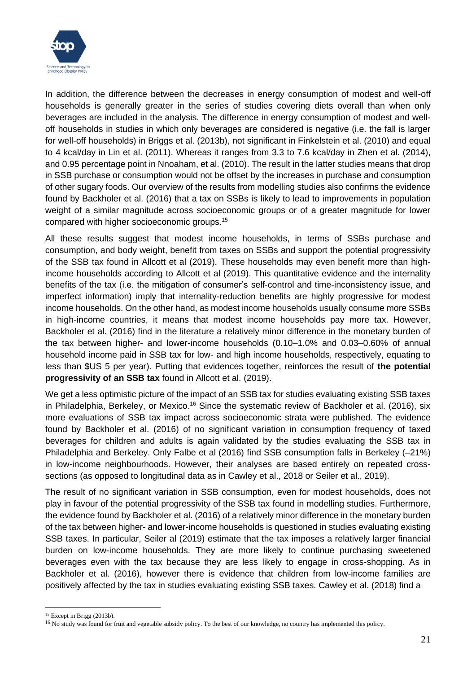

In addition, the difference between the decreases in energy consumption of modest and well-off households is generally greater in the series of studies covering diets overall than when only beverages are included in the analysis. The difference in energy consumption of modest and welloff households in studies in which only beverages are considered is negative (i.e. the fall is larger for well-off households) in Briggs et al. (2013b), not significant in Finkelstein et al. (2010) and equal to 4 kcal/day in Lin et al. (2011). Whereas it ranges from 3.3 to 7.6 kcal/day in Zhen et al. (2014), and 0.95 percentage point in Nnoaham, et al. (2010). The result in the latter studies means that drop in SSB purchase or consumption would not be offset by the increases in purchase and consumption of other sugary foods. Our overview of the results from modelling studies also confirms the evidence found by Backholer et al. (2016) that a tax on SSBs is likely to lead to improvements in population weight of a similar magnitude across socioeconomic groups or of a greater magnitude for lower compared with higher socioeconomic groups.<sup>15</sup>

All these results suggest that modest income households, in terms of SSBs purchase and consumption, and body weight, benefit from taxes on SSBs and support the potential progressivity of the SSB tax found in Allcott et al (2019). These households may even benefit more than highincome households according to Allcott et al (2019). This quantitative evidence and the internality benefits of the tax (i.e. the mitigation of consumer's self-control and time-inconsistency issue, and imperfect information) imply that internality-reduction benefits are highly progressive for modest income households. On the other hand, as modest income households usually consume more SSBs in high-income countries, it means that modest income households pay more tax. However, Backholer et al. (2016) find in the literature a relatively minor difference in the monetary burden of the tax between higher- and lower-income households (0.10–1.0% and 0.03–0.60% of annual household income paid in SSB tax for low- and high income households, respectively, equating to less than \$US 5 per year). Putting that evidences together, reinforces the result of **the potential progressivity of an SSB tax** found in Allcott et al. (2019).

We get a less optimistic picture of the impact of an SSB tax for studies evaluating existing SSB taxes in Philadelphia, Berkeley, or Mexico.<sup>16</sup> Since the systematic review of Backholer et al. (2016), six more evaluations of SSB tax impact across socioeconomic strata were published. The evidence found by Backholer et al. (2016) of no significant variation in consumption frequency of taxed beverages for children and adults is again validated by the studies evaluating the SSB tax in Philadelphia and Berkeley. Only Falbe et al (2016) find SSB consumption falls in Berkeley (–21%) in low-income neighbourhoods. However, their analyses are based entirely on repeated crosssections (as opposed to longitudinal data as in Cawley et al., 2018 or Seiler et al., 2019).

The result of no significant variation in SSB consumption, even for modest households, does not play in favour of the potential progressivity of the SSB tax found in modelling studies. Furthermore, the evidence found by Backholer et al. (2016) of a relatively minor difference in the monetary burden of the tax between higher- and lower-income households is questioned in studies evaluating existing SSB taxes. In particular, Seiler al (2019) estimate that the tax imposes a relatively larger financial burden on low-income households. They are more likely to continue purchasing sweetened beverages even with the tax because they are less likely to engage in cross-shopping. As in Backholer et al. (2016), however there is evidence that children from low-income families are positively affected by the tax in studies evaluating existing SSB taxes. Cawley et al. (2018) find a

 $15$  Except in Brigg (2013b).

<sup>&</sup>lt;sup>16</sup> No study was found for fruit and vegetable subsidy policy. To the best of our knowledge, no country has implemented this policy.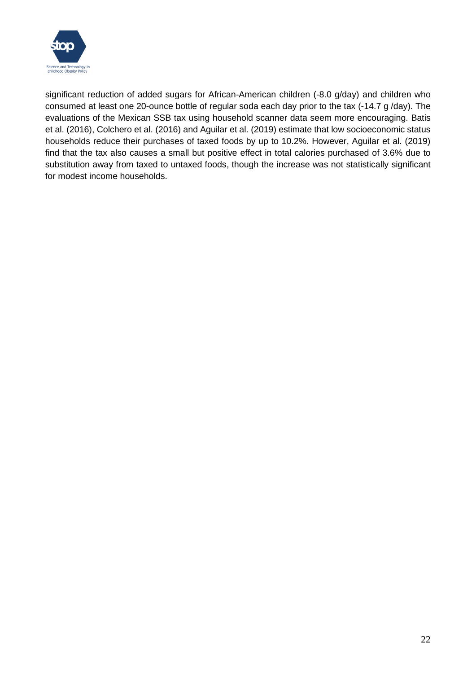

significant reduction of added sugars for African-American children (-8.0 g/day) and children who consumed at least one 20-ounce bottle of regular soda each day prior to the tax (-14.7 g /day). The evaluations of the Mexican SSB tax using household scanner data seem more encouraging. Batis et al. (2016), Colchero et al. (2016) and Aguilar et al. (2019) estimate that low socioeconomic status households reduce their purchases of taxed foods by up to 10.2%. However, Aguilar et al. (2019) find that the tax also causes a small but positive effect in total calories purchased of 3.6% due to substitution away from taxed to untaxed foods, though the increase was not statistically significant for modest income households.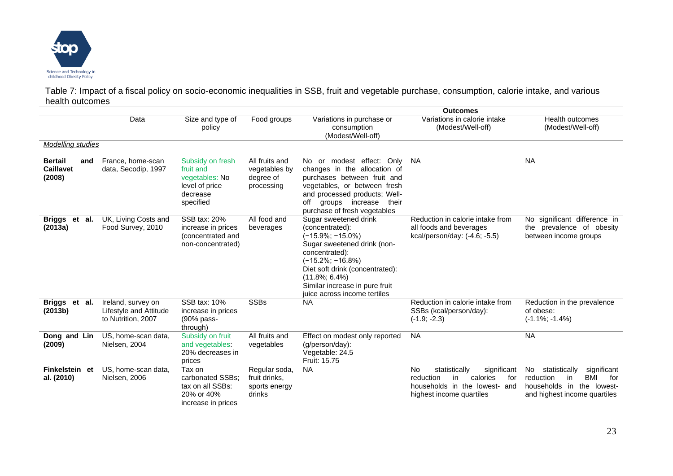

Table 7: Impact of a fiscal policy on socio-economic inequalities in SSB, fruit and vegetable purchase, consumption, calorie intake, and various health outcomes

|                                                     |                                                                    |                                                                                            |                                                            |                                                                                                                                                                                                                                                             | <b>Outcomes</b>                                                                                                                              |                                                                                                                                                  |
|-----------------------------------------------------|--------------------------------------------------------------------|--------------------------------------------------------------------------------------------|------------------------------------------------------------|-------------------------------------------------------------------------------------------------------------------------------------------------------------------------------------------------------------------------------------------------------------|----------------------------------------------------------------------------------------------------------------------------------------------|--------------------------------------------------------------------------------------------------------------------------------------------------|
|                                                     | Data                                                               | Size and type of<br>policy                                                                 | Food groups                                                | Variations in purchase or<br>consumption<br>(Modest/Well-off)                                                                                                                                                                                               | Variations in calorie intake<br>(Modest/Well-off)                                                                                            | <b>Health outcomes</b><br>(Modest/Well-off)                                                                                                      |
| <b>Modelling studies</b>                            |                                                                    |                                                                                            |                                                            |                                                                                                                                                                                                                                                             |                                                                                                                                              |                                                                                                                                                  |
| <b>Bertail</b><br>and<br><b>Caillavet</b><br>(2008) | France, home-scan<br>data, Secodip, 1997                           | Subsidy on fresh<br>fruit and<br>vegetables: No<br>level of price<br>decrease<br>specified | All fruits and<br>vegetables by<br>degree of<br>processing | No or modest effect: Only<br>changes in the allocation of<br>purchases between fruit and<br>vegetables, or between fresh<br>and processed products; Well-<br>off<br>groups increase<br>their<br>purchase of fresh vegetables                                | - NA                                                                                                                                         | <b>NA</b>                                                                                                                                        |
| Briggs et al.<br>(2013a)                            | UK, Living Costs and<br>Food Survey, 2010                          | SSB tax: 20%<br>increase in prices<br>(concentrated and<br>non-concentrated)               | All food and<br>beverages                                  | Sugar sweetened drink<br>(concentrated):<br>(-15.9%; -15.0%)<br>Sugar sweetened drink (non-<br>concentrated):<br>(-15.2%; -16.8%)<br>Diet soft drink (concentrated):<br>$(11.8\%; 6.4\%)$<br>Similar increase in pure fruit<br>juice across income tertiles | Reduction in calorie intake from<br>all foods and beverages<br>kcal/person/day: (-4.6; -5.5)                                                 | No significant difference in<br>the prevalence of obesity<br>between income groups                                                               |
| Briggs et al.<br>(2013b)                            | Ireland, survey on<br>Lifestyle and Attitude<br>to Nutrition, 2007 | SSB tax: 10%<br>increase in prices<br>(90% pass-<br>through)                               | <b>SSBs</b>                                                | <b>NA</b>                                                                                                                                                                                                                                                   | Reduction in calorie intake from<br>SSBs (kcal/person/day):<br>$(-1.9; -2.3)$                                                                | Reduction in the prevalence<br>of obese:<br>$(-1.1\%; -1.4\%)$                                                                                   |
| Dong and Lin<br>(2009)                              | US, home-scan data,<br>Nielsen, 2004                               | Subsidy on fruit<br>and vegetables:<br>20% decreases in<br>prices                          | All fruits and<br>vegetables                               | Effect on modest only reported<br>$(q/\text{person}/\text{day})$ :<br>Vegetable: 24.5<br>Fruit: 15.75                                                                                                                                                       | <b>NA</b>                                                                                                                                    | <b>NA</b>                                                                                                                                        |
| Finkelstein et<br>al. (2010)                        | US, home-scan data,<br>Nielsen, 2006                               | Tax on<br>carbonated SSBs;<br>tax on all SSBs:<br>20% or 40%<br>increase in prices         | Regular soda,<br>fruit drinks.<br>sports energy<br>drinks  | <b>NA</b>                                                                                                                                                                                                                                                   | significant<br><b>No</b><br>statistically<br>reduction<br>calories<br>for<br>in<br>households in the lowest- and<br>highest income quartiles | significant<br>No<br>statistically<br><b>BMI</b><br>reduction<br>in<br>for<br>in<br>households<br>the<br>lowest-<br>and highest income quartiles |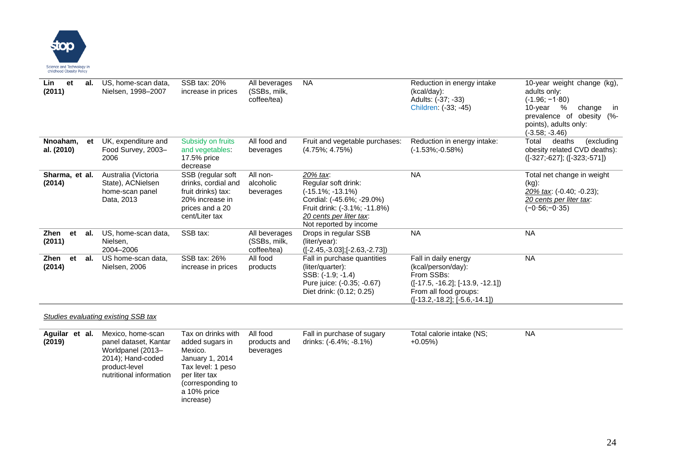

| Lin<br>et<br>al.<br>(2011)   | US, home-scan data,<br>Nielsen, 1998-2007                                 | SSB tax: 20%<br>increase in prices                                                                                     | All beverages<br>(SSBs, milk,<br>coffee/tea) | <b>NA</b>                                                                                                                                                                 | Reduction in energy intake<br>(kcal/day):<br>Adults: (-37; -33)<br>Children: (-33; -45)                                                                      | 10-year weight change (kg),<br>adults only:<br>$(-1.96; -1.80)$<br>%<br>10-year<br>change<br>in<br>prevalence of<br>obesity (%-<br>points), adults only:<br>(-3.58; -3.46) |
|------------------------------|---------------------------------------------------------------------------|------------------------------------------------------------------------------------------------------------------------|----------------------------------------------|---------------------------------------------------------------------------------------------------------------------------------------------------------------------------|--------------------------------------------------------------------------------------------------------------------------------------------------------------|----------------------------------------------------------------------------------------------------------------------------------------------------------------------------|
| Nnoaham,<br>et<br>al. (2010) | UK, expenditure and<br>Food Survey, 2003-<br>2006                         | Subsidy on fruits<br>and vegetables:<br>17.5% price<br>decrease                                                        | All food and<br>beverages                    | Fruit and vegetable purchases:<br>$(4.75\%; 4.75\%)$                                                                                                                      | Reduction in energy intake:<br>(-1.53%;-0.58%)                                                                                                               | Total<br>deaths<br>(excluding<br>obesity related CVD deaths):<br>$([-327; -627]; ([-323; -571])$                                                                           |
| Sharma, et al.<br>(2014)     | Australia (Victoria<br>State), ACNielsen<br>home-scan panel<br>Data, 2013 | SSB (regular soft<br>drinks, cordial and<br>fruit drinks) tax:<br>20% increase in<br>prices and a 20<br>cent/Liter tax | All non-<br>alcoholic<br>beverages           | 20% tax:<br>Regular soft drink:<br>$(-15.1\%; -13.1\%)$<br>Cordial: (-45.6%; -29.0%)<br>Fruit drink: (-3.1%; -11.8%)<br>20 cents per liter tax.<br>Not reported by income | <b>NA</b>                                                                                                                                                    | Total net change in weight<br>$(kg)$ :<br>20% tax: (-0.40; -0.23);<br>20 cents per liter tax:<br>$(-0.56,-0.35)$                                                           |
| Zhen<br>et<br>al.<br>(2011)  | US, home-scan data,<br>Nielsen,<br>2004-2006                              | SSB tax:                                                                                                               | All beverages<br>(SSBs, milk,<br>coffee/tea) | Drops in regular SSB<br>(liter/year):<br>$([-2.45, -3.03]; [-2.63, -2.73])$                                                                                               | <b>NA</b>                                                                                                                                                    | <b>NA</b>                                                                                                                                                                  |
| Zhen<br>et<br>al.<br>(2014)  | US home-scan data,<br>Nielsen, 2006                                       | SSB tax: 26%<br>increase in prices                                                                                     | All food<br>products                         | Fall in purchase quantities<br>(liter/quarter):<br>SSB: (-1.9; -1.4)<br>Pure juice: (-0.35; -0.67)<br>Diet drink: (0.12; 0.25)                                            | Fall in daily energy<br>(kcal/person/day):<br>From SSBs:<br>$([-17.5, -16.2]; [-13.9, -12.1])$<br>From all food groups:<br>$([-13.2, -18.2]; [-5.6, -14.1])$ | <b>NA</b>                                                                                                                                                                  |

#### *Studies evaluating existing SSB tax*

| Aquilar et al.<br>(2019) | Mexico, home-scan<br>panel dataset, Kantar<br>Worldpanel (2013-<br>2014); Hand-coded<br>product-level<br>nutritional information | Tax on drinks with<br>added sugars in<br>Mexico.<br>January 1, 2014<br>Tax level: 1 peso<br>per liter tax<br>(corresponding to<br>a 10% price<br>increase) | All food<br>products and<br>beverages | Fall in purchase of sugary<br>drinks: (-6.4%; -8.1%) | Total calorie intake (NS;<br>$+0.05\%)$ | <b>NA</b> |
|--------------------------|----------------------------------------------------------------------------------------------------------------------------------|------------------------------------------------------------------------------------------------------------------------------------------------------------|---------------------------------------|------------------------------------------------------|-----------------------------------------|-----------|
|--------------------------|----------------------------------------------------------------------------------------------------------------------------------|------------------------------------------------------------------------------------------------------------------------------------------------------------|---------------------------------------|------------------------------------------------------|-----------------------------------------|-----------|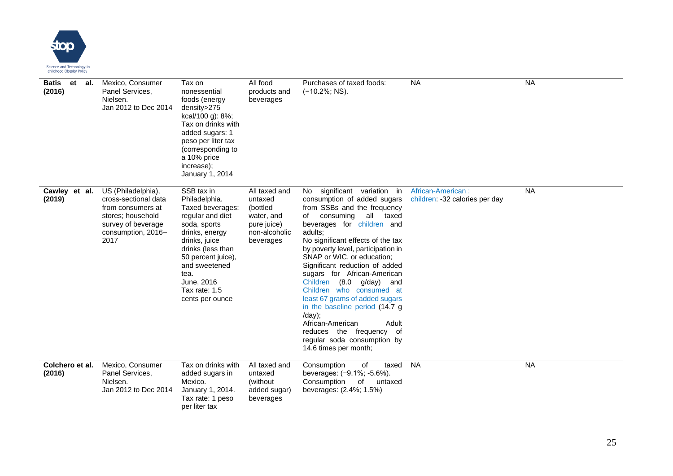

| Batis<br>et<br>al.<br>(2016) | Mexico, Consumer<br>Panel Services,<br>Nielsen.<br>Jan 2012 to Dec 2014                                                                  | Tax on<br>nonessential<br>foods (energy<br>density>275<br>kcal/100 g): 8%;<br>Tax on drinks with<br>added sugars: 1<br>peso per liter tax<br>(corresponding to<br>a 10% price<br>increase);<br>January 1, 2014                               | All food<br>products and<br>beverages                                                           | Purchases of taxed foods:<br>$(-10.2\%; NS).$                                                                                                                                                                                                                                                                                                                                                                                                                                                                                                                                                       | <b>NA</b>                                           | <b>NA</b> |
|------------------------------|------------------------------------------------------------------------------------------------------------------------------------------|----------------------------------------------------------------------------------------------------------------------------------------------------------------------------------------------------------------------------------------------|-------------------------------------------------------------------------------------------------|-----------------------------------------------------------------------------------------------------------------------------------------------------------------------------------------------------------------------------------------------------------------------------------------------------------------------------------------------------------------------------------------------------------------------------------------------------------------------------------------------------------------------------------------------------------------------------------------------------|-----------------------------------------------------|-----------|
| Cawley et al.<br>(2019)      | US (Philadelphia),<br>cross-sectional data<br>from consumers at<br>stores; household<br>survey of beverage<br>consumption, 2016-<br>2017 | SSB tax in<br>Philadelphia.<br>Taxed beverages:<br>regular and diet<br>soda, sports<br>drinks, energy<br>drinks, juice<br>drinks (less than<br>50 percent juice),<br>and sweetened<br>tea.<br>June, 2016<br>Tax rate: 1.5<br>cents per ounce | All taxed and<br>untaxed<br>(bottled<br>water, and<br>pure juice)<br>non-alcoholic<br>beverages | No significant variation in<br>consumption of added sugars<br>from SSBs and the frequency<br>consuming<br>all taxed<br>of<br>beverages for children and<br>adults;<br>No significant effects of the tax<br>by poverty level, participation in<br>SNAP or WIC, or education;<br>Significant reduction of added<br>sugars for African-American<br>Children (8.0 g/day) and<br>Children who consumed at<br>least 67 grams of added sugars<br>in the baseline period (14.7 g<br>/day);<br>African-American<br>Adult<br>reduces the frequency of<br>regular soda consumption by<br>14.6 times per month; | African-American:<br>children: -32 calories per day | <b>NA</b> |
| Colchero et al.<br>(2016)    | Mexico, Consumer<br>Panel Services,<br>Nielsen.<br>Jan 2012 to Dec 2014                                                                  | Tax on drinks with<br>added sugars in<br>Mexico.<br>January 1, 2014.<br>Tax rate: 1 peso<br>per liter tax                                                                                                                                    | All taxed and<br>untaxed<br>(without)<br>added sugar)<br>beverages                              | Consumption<br>of<br>taxed<br>beverages: (-9.1%; -5.6%).<br>Consumption<br>of<br>untaxed<br>beverages: (2.4%; 1.5%)                                                                                                                                                                                                                                                                                                                                                                                                                                                                                 | <b>NA</b>                                           | <b>NA</b> |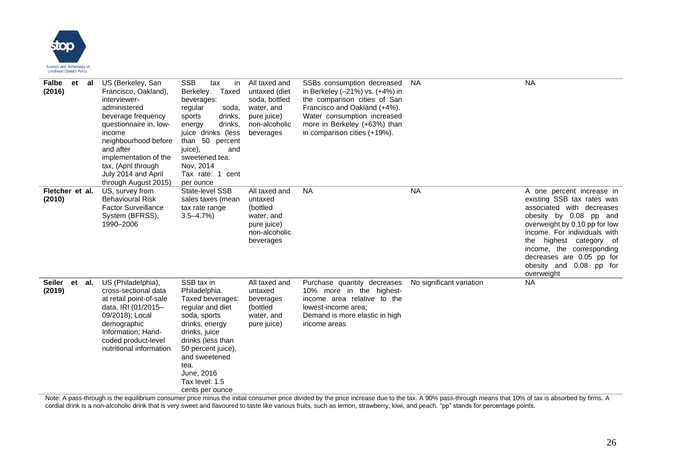

| Falbe<br>et<br>al<br>(2016)       | US (Berkeley, San<br>Francisco, Oakland),<br>interviewer-<br>administered<br>beverage frequency<br>questionnaire in, low-<br>income<br>neighbourhood before<br>and after<br>implementation of the<br>tax, (April through<br>July 2014 and April<br>through August 2015) | <b>SSB</b><br>tax<br>in<br>Taxed<br>Berkeley.<br>beverages:<br>regular<br>soda,<br>drinks,<br>sports<br>drinks,<br>energy<br>juice drinks (less<br>than 50 percent<br>juice),<br>and<br>sweetened tea.<br>Nov, 2014<br>Tax rate: 1 cent<br>per ounce | All taxed and<br>untaxed (diet<br>soda, bottled<br>water, and<br>pure juice)<br>non-alcoholic<br>beverages | SSBs consumption decreased<br>in Berkeley (-21%) vs. (+4%) in<br>the comparison cities of San<br>Francisco and Oakland (+4%).<br>Water consumption increased<br>more in Berkeley (+63%) than<br>in comparison cities (+19%). | <b>NA</b>                                                                                                                                                                                                                         | <b>NA</b>                                                                                                                                                                                                                                                                                                     |
|-----------------------------------|-------------------------------------------------------------------------------------------------------------------------------------------------------------------------------------------------------------------------------------------------------------------------|------------------------------------------------------------------------------------------------------------------------------------------------------------------------------------------------------------------------------------------------------|------------------------------------------------------------------------------------------------------------|------------------------------------------------------------------------------------------------------------------------------------------------------------------------------------------------------------------------------|-----------------------------------------------------------------------------------------------------------------------------------------------------------------------------------------------------------------------------------|---------------------------------------------------------------------------------------------------------------------------------------------------------------------------------------------------------------------------------------------------------------------------------------------------------------|
| Fletcher et al.<br>(2010)         | US, survey from<br><b>Behavioural Risk</b><br><b>Factor Surveillance</b><br>System (BFRSS),<br>1990-2006                                                                                                                                                                | State-level SSB<br>sales taxes (mean<br>tax rate range<br>$3.5 - 4.7\%)$                                                                                                                                                                             | All taxed and<br>untaxed<br>(bottled<br>water, and<br>pure juice)<br>non-alcoholic<br>beverages            | <b>NA</b>                                                                                                                                                                                                                    | <b>NA</b>                                                                                                                                                                                                                         | A one percent increase in<br>existing SSB tax rates was<br>associated with decreases<br>obesity by 0.08 pp and<br>overweight by 0.10 pp for low<br>income. For individuals with<br>the highest category of<br>income, the corresponding<br>decreases are 0.05 pp for<br>obesity and 0.08 pp for<br>overweight |
| <b>Seiler</b><br>et al.<br>(2019) | US (Philadelphia),<br>cross-sectional data<br>at retail point-of-sale<br>data, IRI (01/2015-<br>09/2018); Local<br>demographic<br>Information; Hand-<br>coded product-level<br>nutritional information                                                                  | SSB tax in<br>Philadelphia.<br>Taxed beverages:<br>regular and diet<br>soda, sports<br>drinks, energy<br>drinks, juice<br>drinks (less than<br>50 percent juice),<br>and sweetened<br>tea.<br>June, 2016<br>Tax level: 1.5<br>cents per ounce        | All taxed and<br>untaxed<br>beverages<br>(bottled<br>water, and<br>pure juice)                             | Purchase quantity decreases<br>10% more in the highest-<br>income area relative to the<br>lowest-income area;<br>Demand is more elastic in high<br>income areas                                                              | No significant variation<br>Note: A noon through in the paulibrium concumer price minus the initial concumer price divided by the price increase due to the toy. A 000 noon through means that 4.000 of toy in observing by firme | <b>NA</b>                                                                                                                                                                                                                                                                                                     |

Note: A pass-through is the equilibrium consumer price minus the initial consumer price divided by the price increase due to the tax. A 90% pass-through means that 10% of tax is absorbed by firms. A cordial drink is a non-alcoholic drink that is very sweet and flavoured to taste like various fruits, such as lemon, strawberry, kiwi, and peach. "pp" stands for percentage points.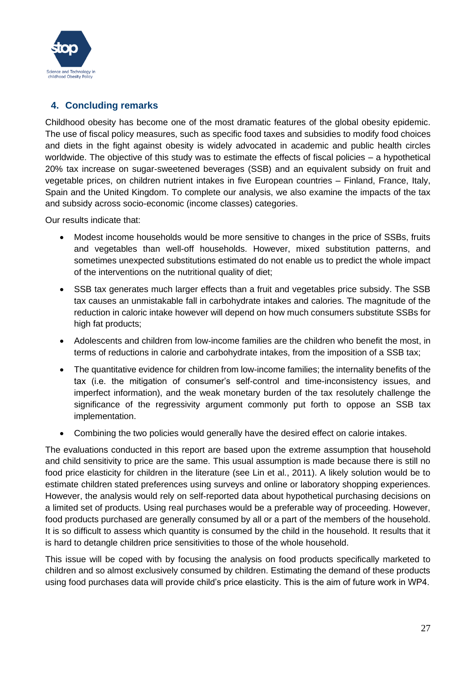

### <span id="page-26-0"></span>**4. Concluding remarks**

Childhood obesity has become one of the most dramatic features of the global obesity epidemic. The use of fiscal policy measures, such as specific food taxes and subsidies to modify food choices and diets in the fight against obesity is widely advocated in academic and public health circles worldwide. The objective of this study was to estimate the effects of fiscal policies – a hypothetical 20% tax increase on sugar-sweetened beverages (SSB) and an equivalent subsidy on fruit and vegetable prices, on children nutrient intakes in five European countries – Finland, France, Italy, Spain and the United Kingdom. To complete our analysis, we also examine the impacts of the tax and subsidy across socio-economic (income classes) categories.

Our results indicate that:

- Modest income households would be more sensitive to changes in the price of SSBs, fruits and vegetables than well-off households. However, mixed substitution patterns, and sometimes unexpected substitutions estimated do not enable us to predict the whole impact of the interventions on the nutritional quality of diet;
- SSB tax generates much larger effects than a fruit and vegetables price subsidy. The SSB tax causes an unmistakable fall in carbohydrate intakes and calories. The magnitude of the reduction in caloric intake however will depend on how much consumers substitute SSBs for high fat products;
- Adolescents and children from low-income families are the children who benefit the most, in terms of reductions in calorie and carbohydrate intakes, from the imposition of a SSB tax;
- The quantitative evidence for children from low-income families; the internality benefits of the tax (i.e. the mitigation of consumer's self-control and time-inconsistency issues, and imperfect information), and the weak monetary burden of the tax resolutely challenge the significance of the regressivity argument commonly put forth to oppose an SSB tax implementation.
- Combining the two policies would generally have the desired effect on calorie intakes.

The evaluations conducted in this report are based upon the extreme assumption that household and child sensitivity to price are the same. This usual assumption is made because there is still no food price elasticity for children in the literature (see Lin et al., 2011). A likely solution would be to estimate children stated preferences using surveys and online or laboratory shopping experiences. However, the analysis would rely on self-reported data about hypothetical purchasing decisions on a limited set of products. Using real purchases would be a preferable way of proceeding. However, food products purchased are generally consumed by all or a part of the members of the household. It is so difficult to assess which quantity is consumed by the child in the household. It results that it is hard to detangle children price sensitivities to those of the whole household.

This issue will be coped with by focusing the analysis on food products specifically marketed to children and so almost exclusively consumed by children. Estimating the demand of these products using food purchases data will provide child's price elasticity. This is the aim of future work in WP4.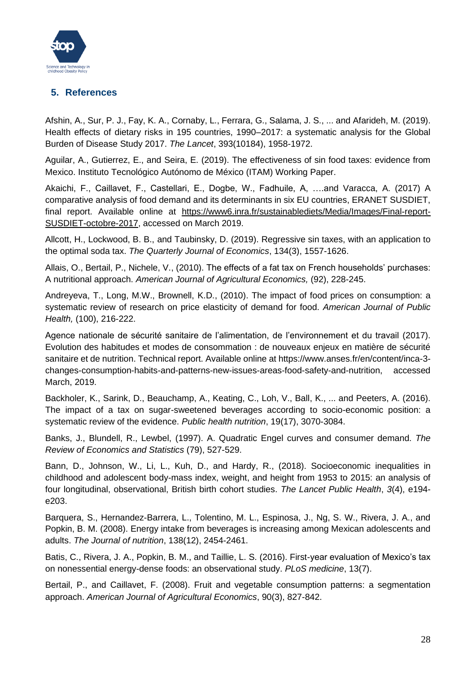

### <span id="page-27-0"></span>**5. References**

Afshin, A., Sur, P. J., Fay, K. A., Cornaby, L., Ferrara, G., Salama, J. S., ... and Afarideh, M. (2019). Health effects of dietary risks in 195 countries, 1990–2017: a systematic analysis for the Global Burden of Disease Study 2017. *The Lancet*, 393(10184), 1958-1972.

Aguilar, A., Gutierrez, E., and Seira, E. (2019). The effectiveness of sin food taxes: evidence from Mexico. Instituto Tecnológico Autónomo de México (ITAM) Working Paper.

Akaichi, F., Caillavet, F., Castellari, E., Dogbe, W., Fadhuile, A, ….and Varacca, A. (2017) A comparative analysis of food demand and its determinants in six EU countries, ERANET SUSDIET, final report. Available online at [https://www6.inra.fr/sustainablediets/Media/Images/Final-report-](https://www6.inra.fr/sustainablediets/Media/Images/Final-report-SUSDIET-octobre-2017)[SUSDIET-octobre-2017,](https://www6.inra.fr/sustainablediets/Media/Images/Final-report-SUSDIET-octobre-2017) accessed on March 2019.

Allcott, H., Lockwood, B. B., and Taubinsky, D. (2019). Regressive sin taxes, with an application to the optimal soda tax. *The Quarterly Journal of Economics*, 134(3), 1557-1626.

Allais, O., Bertail, P., Nichele, V., (2010). The effects of a fat tax on French households' purchases: A nutritional approach. *American Journal of Agricultural Economics,* (92), 228-245.

Andreyeva, T., Long, M.W., Brownell, K.D., (2010). The impact of food prices on consumption: a systematic review of research on price elasticity of demand for food. *American Journal of Public Health,* (100), 216-222.

Agence nationale de sécurité sanitaire de l'alimentation, de l'environnement et du travail (2017). Evolution des habitudes et modes de consommation : de nouveaux enjeux en matière de sécurité sanitaire et de nutrition. Technical report. Available online at https://www.anses.fr/en/content/inca-3 changes-consumption-habits-and-patterns-new-issues-areas-food-safety-and-nutrition, accessed March, 2019.

Backholer, K., Sarink, D., Beauchamp, A., Keating, C., Loh, V., Ball, K., ... and Peeters, A. (2016). The impact of a tax on sugar-sweetened beverages according to socio-economic position: a systematic review of the evidence. *Public health nutrition*, 19(17), 3070-3084.

Banks, J., Blundell, R., Lewbel, (1997). A. Quadratic Engel curves and consumer demand. *The Review of Economics and Statistics* (79), 527-529.

Bann, D., Johnson, W., Li, L., Kuh, D., and Hardy, R., (2018). Socioeconomic inequalities in childhood and adolescent body-mass index, weight, and height from 1953 to 2015: an analysis of four longitudinal, observational, British birth cohort studies. *The Lancet Public Health*, *3*(4), e194 e203.

Barquera, S., Hernandez-Barrera, L., Tolentino, M. L., Espinosa, J., Ng, S. W., Rivera, J. A., and Popkin, B. M. (2008). Energy intake from beverages is increasing among Mexican adolescents and adults. *The Journal of nutrition*, 138(12), 2454-2461.

Batis, C., Rivera, J. A., Popkin, B. M., and Taillie, L. S. (2016). First-year evaluation of Mexico's tax on nonessential energy-dense foods: an observational study. *PLoS medicine*, 13(7).

Bertail, P., and Caillavet, F. (2008). Fruit and vegetable consumption patterns: a segmentation approach. *American Journal of Agricultural Economics*, 90(3), 827-842.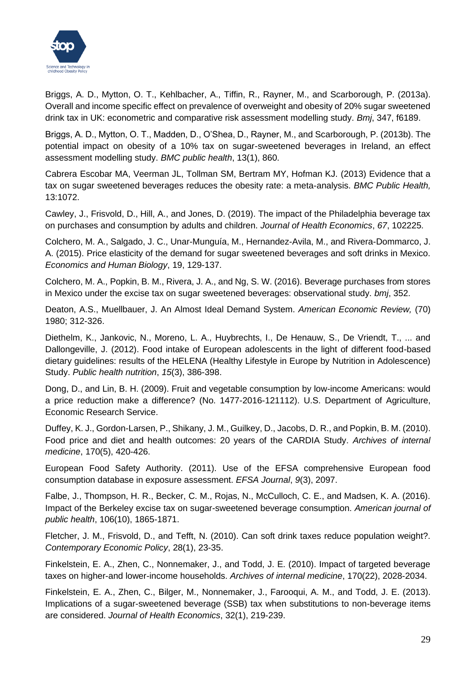

Briggs, A. D., Mytton, O. T., Kehlbacher, A., Tiffin, R., Rayner, M., and Scarborough, P. (2013a). Overall and income specific effect on prevalence of overweight and obesity of 20% sugar sweetened drink tax in UK: econometric and comparative risk assessment modelling study. *Bmj*, 347, f6189.

Briggs, A. D., Mytton, O. T., Madden, D., O'Shea, D., Rayner, M., and Scarborough, P. (2013b). The potential impact on obesity of a 10% tax on sugar-sweetened beverages in Ireland, an effect assessment modelling study. *BMC public health*, 13(1), 860.

Cabrera Escobar MA, Veerman JL, Tollman SM, Bertram MY, Hofman KJ. (2013) Evidence that a tax on sugar sweetened beverages reduces the obesity rate: a meta-analysis. *BMC Public Health,* 13:1072.

Cawley, J., Frisvold, D., Hill, A., and Jones, D. (2019). The impact of the Philadelphia beverage tax on purchases and consumption by adults and children. *Journal of Health Economics*, *67*, 102225.

Colchero, M. A., Salgado, J. C., Unar-Munguía, M., Hernandez-Avila, M., and Rivera-Dommarco, J. A. (2015). Price elasticity of the demand for sugar sweetened beverages and soft drinks in Mexico. *Economics and Human Biology*, 19, 129-137.

Colchero, M. A., Popkin, B. M., Rivera, J. A., and Ng, S. W. (2016). Beverage purchases from stores in Mexico under the excise tax on sugar sweetened beverages: observational study. *bmj*, 352.

Deaton, A.S., Muellbauer, J. An Almost Ideal Demand System. *American Economic Review,* (70) 1980; 312-326.

Diethelm, K., Jankovic, N., Moreno, L. A., Huybrechts, I., De Henauw, S., De Vriendt, T., ... and Dallongeville, J. (2012). Food intake of European adolescents in the light of different food-based dietary guidelines: results of the HELENA (Healthy Lifestyle in Europe by Nutrition in Adolescence) Study. *Public health nutrition*, *15*(3), 386-398.

Dong, D., and Lin, B. H. (2009). Fruit and vegetable consumption by low-income Americans: would a price reduction make a difference? (No. 1477-2016-121112). U.S. Department of Agriculture, Economic Research Service.

Duffey, K. J., Gordon-Larsen, P., Shikany, J. M., Guilkey, D., Jacobs, D. R., and Popkin, B. M. (2010). Food price and diet and health outcomes: 20 years of the CARDIA Study. *Archives of internal medicine*, 170(5), 420-426.

European Food Safety Authority. (2011). Use of the EFSA comprehensive European food consumption database in exposure assessment. *EFSA Journal*, *9*(3), 2097.

Falbe, J., Thompson, H. R., Becker, C. M., Rojas, N., McCulloch, C. E., and Madsen, K. A. (2016). Impact of the Berkeley excise tax on sugar-sweetened beverage consumption. *American journal of public health*, 106(10), 1865-1871.

Fletcher, J. M., Frisvold, D., and Tefft, N. (2010). Can soft drink taxes reduce population weight?. *Contemporary Economic Policy*, 28(1), 23-35.

Finkelstein, E. A., Zhen, C., Nonnemaker, J., and Todd, J. E. (2010). Impact of targeted beverage taxes on higher-and lower-income households. *Archives of internal medicine*, 170(22), 2028-2034.

Finkelstein, E. A., Zhen, C., Bilger, M., Nonnemaker, J., Farooqui, A. M., and Todd, J. E. (2013). Implications of a sugar-sweetened beverage (SSB) tax when substitutions to non-beverage items are considered. *Journal of Health Economics*, 32(1), 219-239.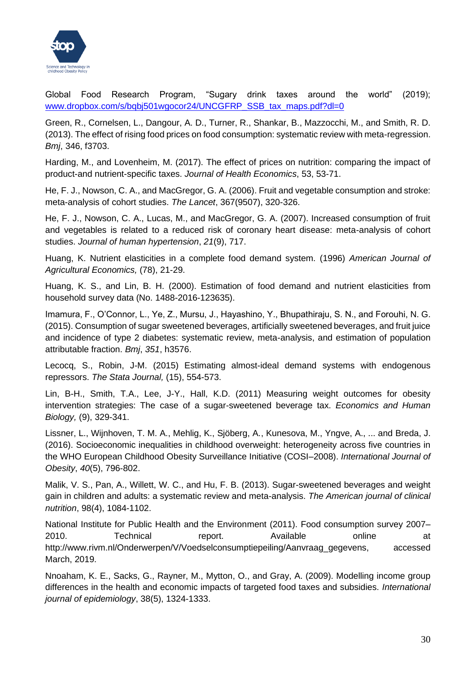

Global Food Research Program, "Sugary drink taxes around the world" (2019); [www.dropbox.com/s/bqbj501wgocor24/UNCGFRP\\_SSB\\_tax\\_maps.pdf?dl=0](http://www.dropbox.com/s/bqbj501wgocor24/UNCGFRP_SSB_tax_maps.pdf?dl=0)

Green, R., Cornelsen, L., Dangour, A. D., Turner, R., Shankar, B., Mazzocchi, M., and Smith, R. D. (2013). The effect of rising food prices on food consumption: systematic review with meta-regression. *Bmj*, 346, f3703.

Harding, M., and Lovenheim, M. (2017). The effect of prices on nutrition: comparing the impact of product-and nutrient-specific taxes. *Journal of Health Economics*, 53, 53-71.

He, F. J., Nowson, C. A., and MacGregor, G. A. (2006). Fruit and vegetable consumption and stroke: meta-analysis of cohort studies. *The Lancet*, 367(9507), 320-326.

He, F. J., Nowson, C. A., Lucas, M., and MacGregor, G. A. (2007). Increased consumption of fruit and vegetables is related to a reduced risk of coronary heart disease: meta-analysis of cohort studies. *Journal of human hypertension*, *21*(9), 717.

Huang, K. Nutrient elasticities in a complete food demand system. (1996) *American Journal of Agricultural Economics,* (78), 21-29.

Huang, K. S., and Lin, B. H. (2000). Estimation of food demand and nutrient elasticities from household survey data (No. 1488-2016-123635).

Imamura, F., O'Connor, L., Ye, Z., Mursu, J., Hayashino, Y., Bhupathiraju, S. N., and Forouhi, N. G. (2015). Consumption of sugar sweetened beverages, artificially sweetened beverages, and fruit juice and incidence of type 2 diabetes: systematic review, meta-analysis, and estimation of population attributable fraction. *Bmj*, *351*, h3576.

Lecocq, S., Robin, J-M. (2015) Estimating almost-ideal demand systems with endogenous repressors. *The Stata Journal,* (15), 554-573.

Lin, B-H., Smith, T.A., Lee, J-Y., Hall, K.D. (2011) Measuring weight outcomes for obesity intervention strategies: The case of a sugar-sweetened beverage tax. *Economics and Human Biology,* (9), 329-341.

Lissner, L., Wijnhoven, T. M. A., Mehlig, K., Sjöberg, A., Kunesova, M., Yngve, A., ... and Breda, J. (2016). Socioeconomic inequalities in childhood overweight: heterogeneity across five countries in the WHO European Childhood Obesity Surveillance Initiative (COSI–2008). *International Journal of Obesity*, *40*(5), 796-802.

Malik, V. S., Pan, A., Willett, W. C., and Hu, F. B. (2013). Sugar-sweetened beverages and weight gain in children and adults: a systematic review and meta-analysis. *The American journal of clinical nutrition*, 98(4), 1084-1102.

National Institute for Public Health and the Environment (2011). Food consumption survey 2007– 2010. Technical report. Available online at http://www.rivm.nl/Onderwerpen/V/Voedselconsumptiepeiling/Aanvraag\_gegevens, accessed March, 2019.

Nnoaham, K. E., Sacks, G., Rayner, M., Mytton, O., and Gray, A. (2009). Modelling income group differences in the health and economic impacts of targeted food taxes and subsidies. *International journal of epidemiology*, 38(5), 1324-1333.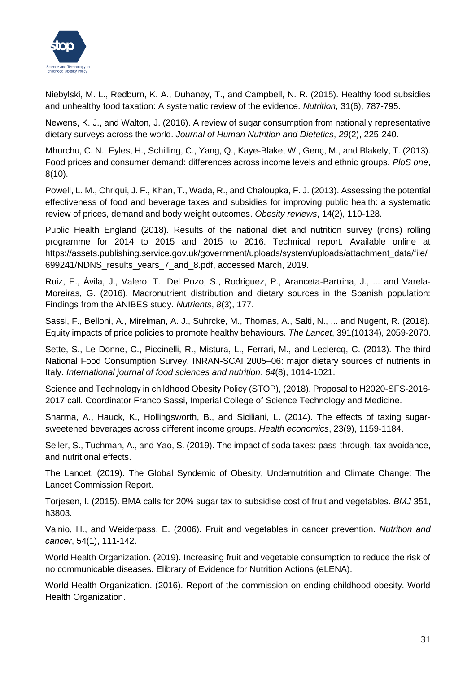

Niebylski, M. L., Redburn, K. A., Duhaney, T., and Campbell, N. R. (2015). Healthy food subsidies and unhealthy food taxation: A systematic review of the evidence. *Nutrition*, 31(6), 787-795.

Newens, K. J., and Walton, J. (2016). A review of sugar consumption from nationally representative dietary surveys across the world. *Journal of Human Nutrition and Dietetics*, *29*(2), 225-240.

Mhurchu, C. N., Eyles, H., Schilling, C., Yang, Q., Kaye-Blake, W., Genç, M., and Blakely, T. (2013). Food prices and consumer demand: differences across income levels and ethnic groups. *PloS one*, 8(10).

Powell, L. M., Chriqui, J. F., Khan, T., Wada, R., and Chaloupka, F. J. (2013). Assessing the potential effectiveness of food and beverage taxes and subsidies for improving public health: a systematic review of prices, demand and body weight outcomes. *Obesity reviews*, 14(2), 110-128.

Public Health England (2018). Results of the national diet and nutrition survey (ndns) rolling programme for 2014 to 2015 and 2015 to 2016. Technical report. Available online at https://assets.publishing.service.gov.uk/government/uploads/system/uploads/attachment\_data/file/ 699241/NDNS\_results\_years\_7\_and\_8.pdf, accessed March, 2019.

Ruiz, E., Ávila, J., Valero, T., Del Pozo, S., Rodriguez, P., Aranceta-Bartrina, J., ... and Varela-Moreiras, G. (2016). Macronutrient distribution and dietary sources in the Spanish population: Findings from the ANIBES study. *Nutrients*, *8*(3), 177.

Sassi, F., Belloni, A., Mirelman, A. J., Suhrcke, M., Thomas, A., Salti, N., ... and Nugent, R. (2018). Equity impacts of price policies to promote healthy behaviours. *The Lancet*, 391(10134), 2059-2070.

Sette, S., Le Donne, C., Piccinelli, R., Mistura, L., Ferrari, M., and Leclercq, C. (2013). The third National Food Consumption Survey, INRAN-SCAI 2005–06: major dietary sources of nutrients in Italy. *International journal of food sciences and nutrition*, *64*(8), 1014-1021.

Science and Technology in childhood Obesity Policy (STOP), (2018). Proposal to H2020-SFS-2016- 2017 call. Coordinator Franco Sassi, Imperial College of Science Technology and Medicine.

Sharma, A., Hauck, K., Hollingsworth, B., and Siciliani, L. (2014). The effects of taxing sugar‐ sweetened beverages across different income groups. *Health economics*, 23(9), 1159-1184.

Seiler, S., Tuchman, A., and Yao, S. (2019). The impact of soda taxes: pass-through, tax avoidance, and nutritional effects.

The Lancet. (2019). The Global Syndemic of Obesity, Undernutrition and Climate Change: The Lancet Commission Report.

Torjesen, I. (2015). BMA calls for 20% sugar tax to subsidise cost of fruit and vegetables. *BMJ* 351, h3803.

Vainio, H., and Weiderpass, E. (2006). Fruit and vegetables in cancer prevention. *Nutrition and cancer*, 54(1), 111-142.

World Health Organization. (2019). Increasing fruit and vegetable consumption to reduce the risk of no communicable diseases. Elibrary of Evidence for Nutrition Actions (eLENA).

World Health Organization. (2016). Report of the commission on ending childhood obesity. World Health Organization.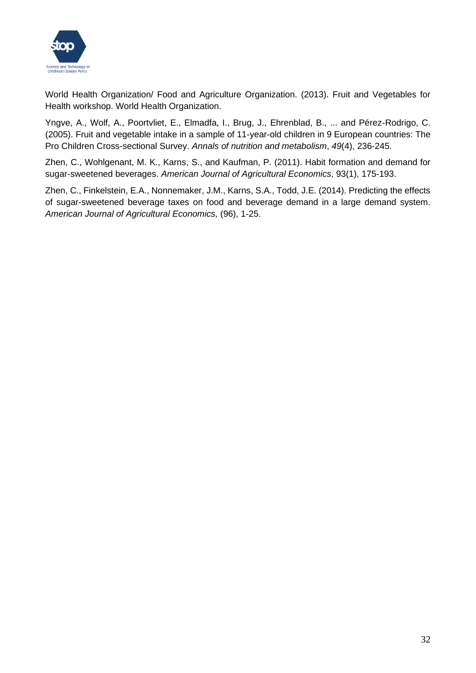

World Health Organization/ Food and Agriculture Organization. (2013). Fruit and Vegetables for Health workshop. World Health Organization.

Yngve, A., Wolf, A., Poortvliet, E., Elmadfa, I., Brug, J., Ehrenblad, B., ... and Pérez-Rodrigo, C. (2005). Fruit and vegetable intake in a sample of 11-year-old children in 9 European countries: The Pro Children Cross-sectional Survey. *Annals of nutrition and metabolism*, *49*(4), 236-245.

Zhen, C., Wohlgenant, M. K., Karns, S., and Kaufman, P. (2011). Habit formation and demand for sugar-sweetened beverages. *American Journal of Agricultural Economics*, 93(1), 175-193.

Zhen, C., Finkelstein, E.A., Nonnemaker, J.M., Karns, S.A., Todd, J.E. (2014). Predicting the effects of sugar-sweetened beverage taxes on food and beverage demand in a large demand system. *American Journal of Agricultural Economics,* (96), 1-25.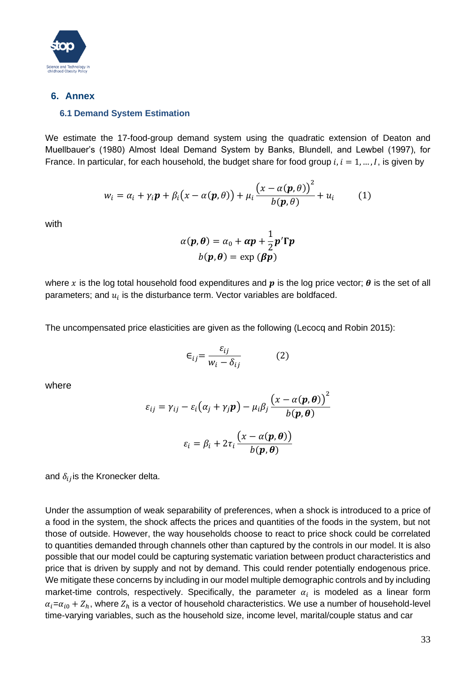

### <span id="page-32-1"></span><span id="page-32-0"></span>**6. Annex**

### **6.1 Demand System Estimation**

We estimate the 17-food-group demand system using the quadratic extension of Deaton and Muellbauer's (1980) Almost Ideal Demand System by Banks, Blundell, and Lewbel (1997), for France. In particular, for each household, the budget share for food group  $i, i = 1, ..., I$ , is given by

$$
w_i = \alpha_i + \gamma_i \mathbf{p} + \beta_i (x - \alpha(\mathbf{p}, \theta)) + \mu_i \frac{(x - \alpha(\mathbf{p}, \theta))^2}{b(\mathbf{p}, \theta)} + u_i \tag{1}
$$

with

$$
\alpha(\mathbf{p}, \boldsymbol{\theta}) = \alpha_0 + \boldsymbol{\alpha p} + \frac{1}{2} \boldsymbol{p}' \boldsymbol{\Gamma} \boldsymbol{p}
$$

$$
b(\mathbf{p}, \boldsymbol{\theta}) = \exp(\beta \boldsymbol{p})
$$

where x is the log total household food expenditures and  $p$  is the log price vector;  $\theta$  is the set of all parameters; and  $u_i$  is the disturbance term. Vector variables are boldfaced.

The uncompensated price elasticities are given as the following (Lecocq and Robin 2015):

$$
\epsilon_{ij} = \frac{\varepsilon_{ij}}{w_i - \delta_{ij}} \tag{2}
$$

where

$$
\varepsilon_{ij} = \gamma_{ij} - \varepsilon_i (\alpha_j + \gamma_j \mathbf{p}) - \mu_i \beta_j \frac{\left(x - \alpha(\mathbf{p}, \boldsymbol{\theta})\right)^2}{b(\mathbf{p}, \boldsymbol{\theta})}
$$

$$
\varepsilon_i = \beta_i + 2\tau_i \frac{\left(x - \alpha(\mathbf{p}, \boldsymbol{\theta})\right)}{b(\mathbf{p}, \boldsymbol{\theta})}
$$

and  $\delta_{ij}$  is the Kronecker delta.

Under the assumption of weak separability of preferences, when a shock is introduced to a price of a food in the system, the shock affects the prices and quantities of the foods in the system, but not those of outside. However, the way households choose to react to price shock could be correlated to quantities demanded through channels other than captured by the controls in our model. It is also possible that our model could be capturing systematic variation between product characteristics and price that is driven by supply and not by demand. This could render potentially endogenous price. We mitigate these concerns by including in our model multiple demographic controls and by including market-time controls, respectively. Specifically, the parameter  $\alpha_i$  is modeled as a linear form  $\alpha_i = \alpha_{i0} + Z_h$ , where  $Z_h$  is a vector of household characteristics. We use a number of household-level time-varying variables, such as the household size, income level, marital/couple status and car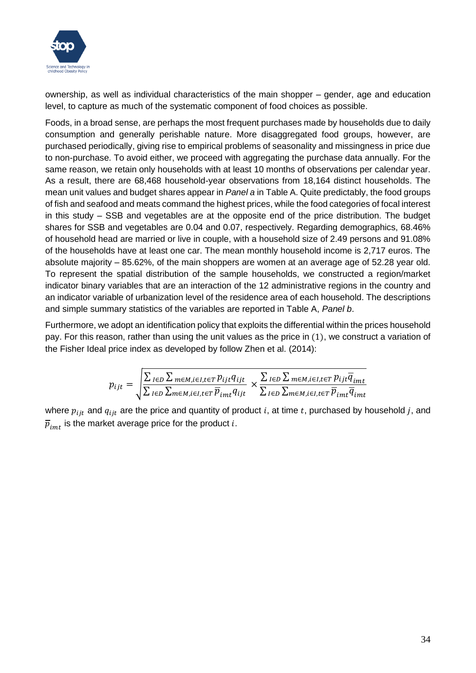

ownership, as well as individual characteristics of the main shopper – gender, age and education level, to capture as much of the systematic component of food choices as possible.

Foods, in a broad sense, are perhaps the most frequent purchases made by households due to daily consumption and generally perishable nature. More disaggregated food groups, however, are purchased periodically, giving rise to empirical problems of seasonality and missingness in price due to non-purchase. To avoid either, we proceed with aggregating the purchase data annually. For the same reason, we retain only households with at least 10 months of observations per calendar year. As a result, there are 68,468 household-year observations from 18,164 distinct households. The mean unit values and budget shares appear in *Panel a* in Table A. Quite predictably, the food groups of fish and seafood and meats command the highest prices, while the food categories of focal interest in this study – SSB and vegetables are at the opposite end of the price distribution. The budget shares for SSB and vegetables are 0.04 and 0.07, respectively. Regarding demographics, 68.46% of household head are married or live in couple, with a household size of 2.49 persons and 91.08% of the households have at least one car. The mean monthly household income is 2,717 euros. The absolute majority – 85.62%, of the main shoppers are women at an average age of 52.28 year old. To represent the spatial distribution of the sample households, we constructed a region/market indicator binary variables that are an interaction of the 12 administrative regions in the country and an indicator variable of urbanization level of the residence area of each household. The descriptions and simple summary statistics of the variables are reported in Table A, *Panel b*.

Furthermore, we adopt an identification policy that exploits the differential within the prices household pay. For this reason, rather than using the unit values as the price in (1), we construct a variation of the Fisher Ideal price index as developed by follow Zhen et al. (2014):

$$
p_{ijt} = \sqrt{\frac{\sum_{I \in D} \sum_{m \in M, i \in I, t \in T} p_{ijt} q_{ijt}}{\sum_{I \in D} \sum_{m \in M, i \in I, t \in T} \overline{p}_{imt} q_{ijt}}} \times \frac{\sum_{I \in D} \sum_{m \in M, i \in I, t \in T} p_{ijt} \overline{q}_{imt}}{\sum_{I \in D} \sum_{m \in M, i \in I, t \in T} \overline{p}_{imt} \overline{q}_{imt}}
$$

where  $p_{iit}$  and  $q_{iit}$  are the price and quantity of product i, at time t, purchased by household j, and  $\overline{p}_{imt}$  is the market average price for the product i.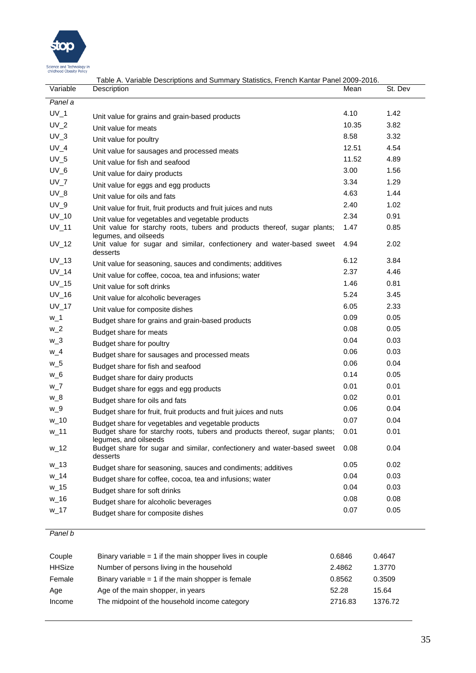

|              | Table A. Variable Descriptions and Summary Statistics, French Kantar Panel 2009-2016.                        |       |         |
|--------------|--------------------------------------------------------------------------------------------------------------|-------|---------|
| Variable     | Description                                                                                                  | Mean  | St. Dev |
| Panel a      |                                                                                                              |       |         |
| $UV_1$       | Unit value for grains and grain-based products                                                               | 4.10  | 1.42    |
| $UV_2$       | Unit value for meats                                                                                         | 10.35 | 3.82    |
| $UV_3$       | Unit value for poultry                                                                                       | 8.58  | 3.32    |
| $UV_4$       | Unit value for sausages and processed meats                                                                  | 12.51 | 4.54    |
| $UV_5$       | Unit value for fish and seafood                                                                              | 11.52 | 4.89    |
| $UV_6$       | Unit value for dairy products                                                                                | 3.00  | 1.56    |
| $UV_7$       | Unit value for eggs and egg products                                                                         | 3.34  | 1.29    |
| $UV_8$       | Unit value for oils and fats                                                                                 | 4.63  | 1.44    |
| $UV_9$       | Unit value for fruit, fruit products and fruit juices and nuts                                               | 2.40  | 1.02    |
| $UV_10$      | Unit value for vegetables and vegetable products                                                             | 2.34  | 0.91    |
| $UV_111$     | Unit value for starchy roots, tubers and products thereof, sugar plants;<br>legumes, and oilseeds            | 1.47  | 0.85    |
| $UV_12$      | Unit value for sugar and similar, confectionery and water-based sweet<br>desserts                            | 4.94  | 2.02    |
| $UV_13$      | Unit value for seasoning, sauces and condiments; additives                                                   | 6.12  | 3.84    |
| $UV_14$      | Unit value for coffee, cocoa, tea and infusions; water                                                       | 2.37  | 4.46    |
| $UV_15$      | Unit value for soft drinks                                                                                   | 1.46  | 0.81    |
| $UV_16$      | Unit value for alcoholic beverages                                                                           | 5.24  | 3.45    |
| <b>UV_17</b> | Unit value for composite dishes                                                                              | 6.05  | 2.33    |
| $w_1$        | Budget share for grains and grain-based products                                                             | 0.09  | 0.05    |
| $W_2$        | Budget share for meats                                                                                       | 0.08  | 0.05    |
| $W_3$        | Budget share for poultry                                                                                     | 0.04  | 0.03    |
| $W_4$        | Budget share for sausages and processed meats                                                                | 0.06  | 0.03    |
| $W_5$        | Budget share for fish and seafood                                                                            | 0.06  | 0.04    |
| $W_6$        | Budget share for dairy products                                                                              | 0.14  | 0.05    |
| $W_7$        | Budget share for eggs and egg products                                                                       | 0.01  | 0.01    |
| $W_8$        | Budget share for oils and fats                                                                               | 0.02  | 0.01    |
| $W_9$        | Budget share for fruit, fruit products and fruit juices and nuts                                             | 0.06  | 0.04    |
| $W_1$ 10     | Budget share for vegetables and vegetable products                                                           | 0.07  | 0.04    |
| $W_1$ 11     | Budget share for starchy roots, tubers and products thereof, sugar plants;                                   | 0.01  | 0.01    |
| $W_1$ 12     | legumes, and oilseeds<br>Budget share for sugar and similar, confectionery and water-based sweet<br>desserts | 0.08  | 0.04    |
| $W_1$ 13     | Budget share for seasoning, sauces and condiments; additives                                                 | 0.05  | 0.02    |
| w_14         | Budget share for coffee, cocoa, tea and infusions; water                                                     | 0.04  | 0.03    |
| $w_1$ 15     | Budget share for soft drinks                                                                                 | 0.04  | 0.03    |
| $w_16$       | Budget share for alcoholic beverages                                                                         | 0.08  | 0.08    |
| $w_1$ 17     | Budget share for composite dishes                                                                            | 0.07  | 0.05    |
|              |                                                                                                              |       |         |

#### *Panel b*

| Couple        | Binary variable $=$ 1 if the main shopper lives in couple | 0.6846  | 0.4647  |
|---------------|-----------------------------------------------------------|---------|---------|
| <b>HHSize</b> | Number of persons living in the household                 | 2.4862  | 1.3770  |
| Female        | Binary variable $= 1$ if the main shopper is female       | 0.8562  | 0.3509  |
| Age           | Age of the main shopper, in years                         | 52.28   | 15.64   |
| Income        | The midpoint of the household income category             | 2716.83 | 1376.72 |